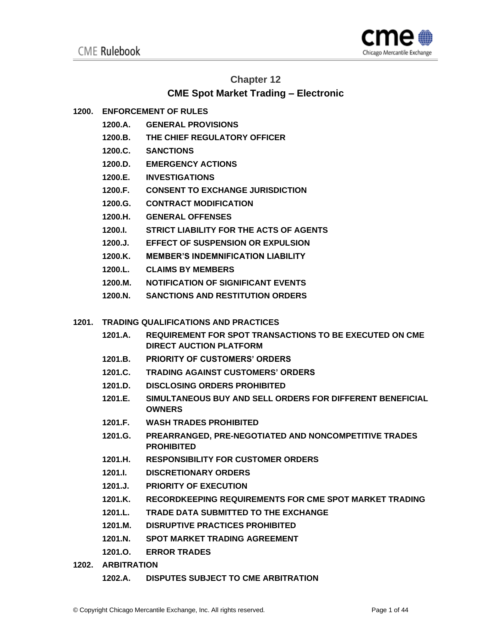

# **Chapter 12**

# **CME Spot Market Trading – Electronic**

# **1200. ENFORCEMENT OF RULES**

- **1200.A. GENERAL PROVISIONS**
- **1200.B. THE CHIEF REGULATORY OFFICER**
- **1200.C. SANCTIONS**
- **1200.D. EMERGENCY ACTIONS**
- **1200.E. INVESTIGATIONS**
- **1200.F. CONSENT TO EXCHANGE JURISDICTION**
- **1200.G. CONTRACT MODIFICATION**
- **1200.H. GENERAL OFFENSES**
- **1200.I. STRICT LIABILITY FOR THE ACTS OF AGENTS**
- **1200.J. EFFECT OF SUSPENSION OR EXPULSION**
- **1200.K. MEMBER'S INDEMNIFICATION LIABILITY**
- **1200.L. CLAIMS BY MEMBERS**
- **1200.M. NOTIFICATION OF SIGNIFICANT EVENTS**
- **1200.N. SANCTIONS AND RESTITUTION ORDERS**
- **1201. TRADING QUALIFICATIONS AND PRACTICES**
	- **1201.A. REQUIREMENT FOR SPOT TRANSACTIONS TO BE EXECUTED ON CME DIRECT AUCTION PLATFORM**
	- **1201.B. PRIORITY OF CUSTOMERS' ORDERS**
	- **1201.C. TRADING AGAINST CUSTOMERS' ORDERS**
	- **1201.D. DISCLOSING ORDERS PROHIBITED**
	- **1201.E. SIMULTANEOUS BUY AND SELL ORDERS FOR DIFFERENT BENEFICIAL OWNERS**
	- **1201.F. WASH TRADES PROHIBITED**
	- **1201.G. PREARRANGED, PRE-NEGOTIATED AND NONCOMPETITIVE TRADES PROHIBITED**
	- **1201.H. RESPONSIBILITY FOR CUSTOMER ORDERS**
	- **1201.I. DISCRETIONARY ORDERS**
	- **1201.J. PRIORITY OF EXECUTION**
	- **1201.K. RECORDKEEPING REQUIREMENTS FOR CME SPOT MARKET TRADING**
	- **1201.L. TRADE DATA SUBMITTED TO THE EXCHANGE**
	- **1201.M. DISRUPTIVE PRACTICES PROHIBITED**
	- **1201.N. SPOT MARKET TRADING AGREEMENT**
	- **1201.O. ERROR TRADES**
- **1202. ARBITRATION**
	- **1202.A. DISPUTES SUBJECT TO CME ARBITRATION**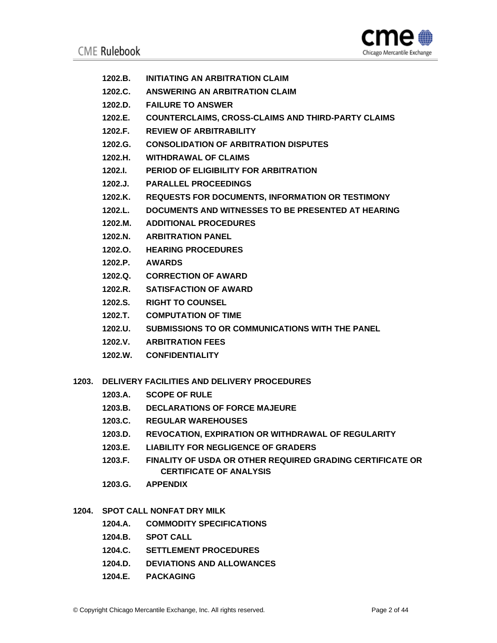

- **1202.B. INITIATING AN ARBITRATION CLAIM**
- **1202.C. ANSWERING AN ARBITRATION CLAIM**
- **1202.D. FAILURE TO ANSWER**
- **1202.E. COUNTERCLAIMS, CROSS-CLAIMS AND THIRD-PARTY CLAIMS**
- **1202.F. REVIEW OF ARBITRABILITY**
- **1202.G. CONSOLIDATION OF ARBITRATION DISPUTES**
- **1202.H. WITHDRAWAL OF CLAIMS**
- **1202.I. PERIOD OF ELIGIBILITY FOR ARBITRATION**
- **1202.J. PARALLEL PROCEEDINGS**
- **1202.K. REQUESTS FOR DOCUMENTS, INFORMATION OR TESTIMONY**
- **1202.L. DOCUMENTS AND WITNESSES TO BE PRESENTED AT HEARING**
- **1202.M. ADDITIONAL PROCEDURES**
- **1202.N. ARBITRATION PANEL**
- **1202.O. HEARING PROCEDURES**
- **1202.P. AWARDS**
- **1202.Q. CORRECTION OF AWARD**
- **1202.R. SATISFACTION OF AWARD**
- **1202.S. RIGHT TO COUNSEL**
- **1202.T. COMPUTATION OF TIME**
- **1202.U. SUBMISSIONS TO OR COMMUNICATIONS WITH THE PANEL**
- **1202.V. ARBITRATION FEES**
- **1202.W. CONFIDENTIALITY**
- **1203. DELIVERY FACILITIES AND DELIVERY PROCEDURES**
	- **1203.A. SCOPE OF RULE**
	- **1203.B. DECLARATIONS OF FORCE MAJEURE**
	- **1203.C. REGULAR WAREHOUSES**
	- **1203.D. REVOCATION, EXPIRATION OR WITHDRAWAL OF REGULARITY**
	- **1203.E. LIABILITY FOR NEGLIGENCE OF GRADERS**
	- **1203.F. FINALITY OF USDA OR OTHER REQUIRED GRADING CERTIFICATE OR CERTIFICATE OF ANALYSIS**
	- **1203.G. APPENDIX**
- **1204. SPOT CALL NONFAT DRY MILK** 
	- **1204.A. COMMODITY SPECIFICATIONS**
	- **1204.B. SPOT CALL**
	- **1204.C. SETTLEMENT PROCEDURES**
	- **1204.D. DEVIATIONS AND ALLOWANCES**
	- **1204.E. PACKAGING**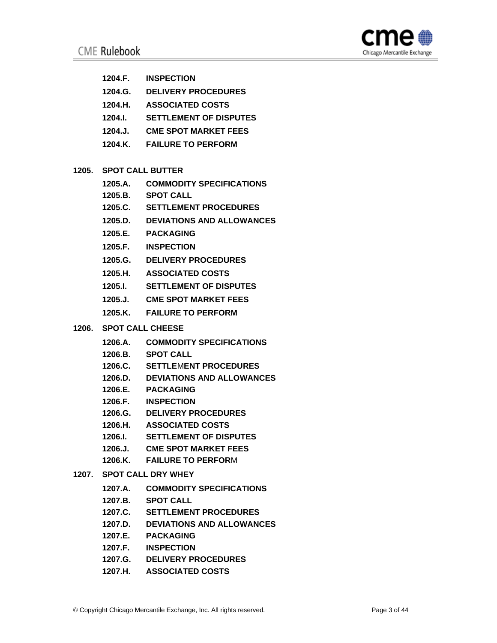

- **1204.F. INSPECTION**
- **1204.G. DELIVERY PROCEDURES**
- **1204.H. ASSOCIATED COSTS**
- **1204.I. SETTLEMENT OF DISPUTES**
- **1204.J. CME SPOT MARKET FEES**
- **1204.K. FAILURE TO PERFORM**
- **1205. SPOT CALL BUTTER**
	- **1205.A. COMMODITY SPECIFICATIONS**
	- **1205.B. SPOT CALL**
	- **1205.C. SETTLEMENT PROCEDURES**
	- **1205.D. DEVIATIONS AND ALLOWANCES**
	- **1205.E. PACKAGING**
	- **1205.F. INSPECTION**
	- **1205.G. DELIVERY PROCEDURES**
	- **1205.H. ASSOCIATED COSTS**
	- **1205.I. SETTLEMENT OF DISPUTES**
	- **1205.J. CME SPOT MARKET FEES**
	- **1205.K. FAILURE TO PERFORM**
- **1206. SPOT CALL CHEESE**
	- **1206.A. COMMODITY SPECIFICATIONS**
	- **1206.B. SPOT CALL**
	- **1206.C. SETTLE**M**ENT PROCEDURES**
	- **1206.D. DEVIATIONS AND ALLOWANCES**
	- **1206.E. PACKAGING**
	- **1206.F. INSPECTION**
	- **1206.G. DELIVERY PROCEDURES**
	- **1206.H. ASSOCIATED COSTS**
	- **1206.I. SETTLEMENT OF DISPUTES**
	- **1206.J. CME SPOT MARKET FEES**
	- **1206.K. FAILURE TO PERFOR**M

## **1207. SPOT CALL DRY WHEY**

- **1207.A. COMMODITY SPECIFICATIONS**
- **1207.B. SPOT CALL**
- **1207.C. SETTLEMENT PROCEDURES**
- **1207.D. DEVIATIONS AND ALLOWANCES**
- **1207.E. PACKAGING**
- **1207.F. INSPECTION**
- **1207.G. DELIVERY PROCEDURES**
- **1207.H. ASSOCIATED COSTS**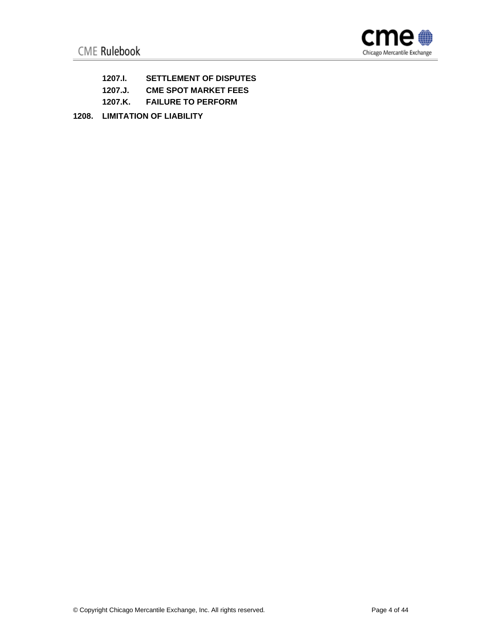

- **1207.I. SETTLEMENT OF DISPUTES**
- **1207.J. CME SPOT MARKET FEES**
- **1207.K. FAILURE TO PERFORM**
- **1208. LIMITATION OF LIABILITY**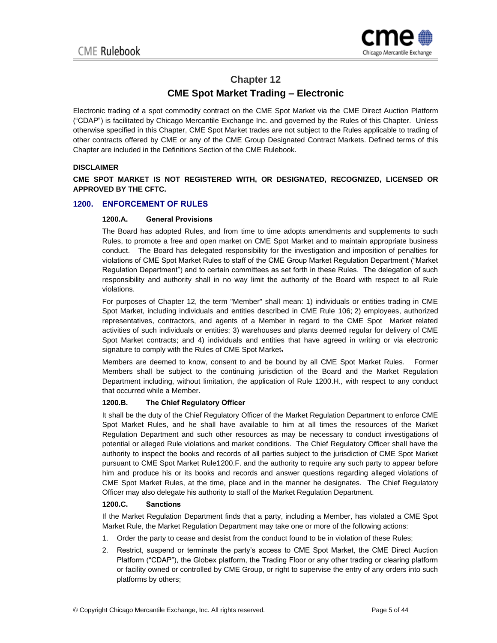

# **Chapter 12**

# **CME Spot Market Trading – Electronic**

Electronic trading of a spot commodity contract on the CME Spot Market via the CME Direct Auction Platform ("CDAP") is facilitated by Chicago Mercantile Exchange Inc. and governed by the Rules of this Chapter. Unless otherwise specified in this Chapter, CME Spot Market trades are not subject to the Rules applicable to trading of other contracts offered by CME or any of the CME Group Designated Contract Markets. Defined terms of this Chapter are included in the Definitions Section of the CME Rulebook.

## **DISCLAIMER**

**CME SPOT MARKET IS NOT REGISTERED WITH, OR DESIGNATED, RECOGNIZED, LICENSED OR APPROVED BY THE CFTC.**

## **1200. ENFORCEMENT OF RULES**

## **1200.A. General Provisions**

The Board has adopted Rules, and from time to time adopts amendments and supplements to such Rules, to promote a free and open market on CME Spot Market and to maintain appropriate business conduct. The Board has delegated responsibility for the investigation and imposition of penalties for violations of CME Spot Market Rules to staff of the CME Group Market Regulation Department ("Market Regulation Department") and to certain committees as set forth in these Rules. The delegation of such responsibility and authority shall in no way limit the authority of the Board with respect to all Rule violations.

For purposes of Chapter 12, the term "Member" shall mean: 1) individuals or entities trading in CME Spot Market, including individuals and entities described in CME Rule 106; 2) employees, authorized representatives, contractors, and agents of a Member in regard to the CME Spot Market related activities of such individuals or entities; 3) warehouses and plants deemed regular for delivery of CME Spot Market contracts; and 4) individuals and entities that have agreed in writing or via electronic signature to comply with the Rules of CME Spot Market.

Members are deemed to know, consent to and be bound by all CME Spot Market Rules. Former Members shall be subject to the continuing jurisdiction of the Board and the Market Regulation Department including, without limitation, the application of Rule 1200.H., with respect to any conduct that occurred while a Member.

## **1200.B. The Chief Regulatory Officer**

It shall be the duty of the Chief Regulatory Officer of the Market Regulation Department to enforce CME Spot Market Rules, and he shall have available to him at all times the resources of the Market Regulation Department and such other resources as may be necessary to conduct investigations of potential or alleged Rule violations and market conditions. The Chief Regulatory Officer shall have the authority to inspect the books and records of all parties subject to the jurisdiction of CME Spot Market pursuant to CME Spot Market Rule1200.F. and the authority to require any such party to appear before him and produce his or its books and records and answer questions regarding alleged violations of CME Spot Market Rules, at the time, place and in the manner he designates. The Chief Regulatory Officer may also delegate his authority to staff of the Market Regulation Department.

## **1200.C. Sanctions**

If the Market Regulation Department finds that a party, including a Member, has violated a CME Spot Market Rule, the Market Regulation Department may take one or more of the following actions:

- 1. Order the party to cease and desist from the conduct found to be in violation of these Rules;
- 2. Restrict, suspend or terminate the party's access to CME Spot Market, the CME Direct Auction Platform ("CDAP"), the Globex platform, the Trading Floor or any other trading or clearing platform or facility owned or controlled by CME Group, or right to supervise the entry of any orders into such platforms by others;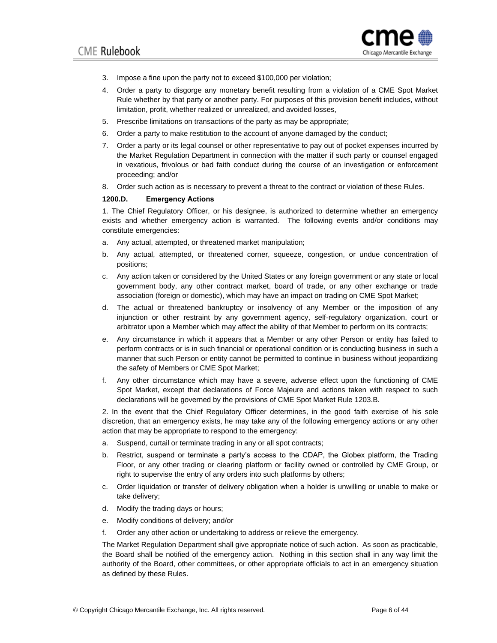

- 3. Impose a fine upon the party not to exceed \$100,000 per violation;
- 4. Order a party to disgorge any monetary benefit resulting from a violation of a CME Spot Market Rule whether by that party or another party. For purposes of this provision benefit includes, without limitation, profit, whether realized or unrealized, and avoided losses,
- 5. Prescribe limitations on transactions of the party as may be appropriate;
- 6. Order a party to make restitution to the account of anyone damaged by the conduct;
- 7. Order a party or its legal counsel or other representative to pay out of pocket expenses incurred by the Market Regulation Department in connection with the matter if such party or counsel engaged in vexatious, frivolous or bad faith conduct during the course of an investigation or enforcement proceeding; and/or
- 8. Order such action as is necessary to prevent a threat to the contract or violation of these Rules.

#### **1200.D. Emergency Actions**

1. The Chief Regulatory Officer, or his designee, is authorized to determine whether an emergency exists and whether emergency action is warranted. The following events and/or conditions may constitute emergencies:

- a. Any actual, attempted, or threatened market manipulation;
- b. Any actual, attempted, or threatened corner, squeeze, congestion, or undue concentration of positions;
- c. Any action taken or considered by the United States or any foreign government or any state or local government body, any other contract market, board of trade, or any other exchange or trade association (foreign or domestic), which may have an impact on trading on CME Spot Market;
- d. The actual or threatened bankruptcy or insolvency of any Member or the imposition of any injunction or other restraint by any government agency, self-regulatory organization, court or arbitrator upon a Member which may affect the ability of that Member to perform on its contracts;
- e. Any circumstance in which it appears that a Member or any other Person or entity has failed to perform contracts or is in such financial or operational condition or is conducting business in such a manner that such Person or entity cannot be permitted to continue in business without jeopardizing the safety of Members or CME Spot Market;
- f. Any other circumstance which may have a severe, adverse effect upon the functioning of CME Spot Market, except that declarations of Force Majeure and actions taken with respect to such declarations will be governed by the provisions of CME Spot Market Rule 1203.B.

2. In the event that the Chief Regulatory Officer determines, in the good faith exercise of his sole discretion, that an emergency exists, he may take any of the following emergency actions or any other action that may be appropriate to respond to the emergency:

- a. Suspend, curtail or terminate trading in any or all spot contracts;
- b. Restrict, suspend or terminate a party's access to the CDAP, the Globex platform, the Trading Floor, or any other trading or clearing platform or facility owned or controlled by CME Group, or right to supervise the entry of any orders into such platforms by others;
- c. Order liquidation or transfer of delivery obligation when a holder is unwilling or unable to make or take delivery;
- d. Modify the trading days or hours;
- e. Modify conditions of delivery; and/or
- f. Order any other action or undertaking to address or relieve the emergency.

The Market Regulation Department shall give appropriate notice of such action. As soon as practicable, the Board shall be notified of the emergency action. Nothing in this section shall in any way limit the authority of the Board, other committees, or other appropriate officials to act in an emergency situation as defined by these Rules.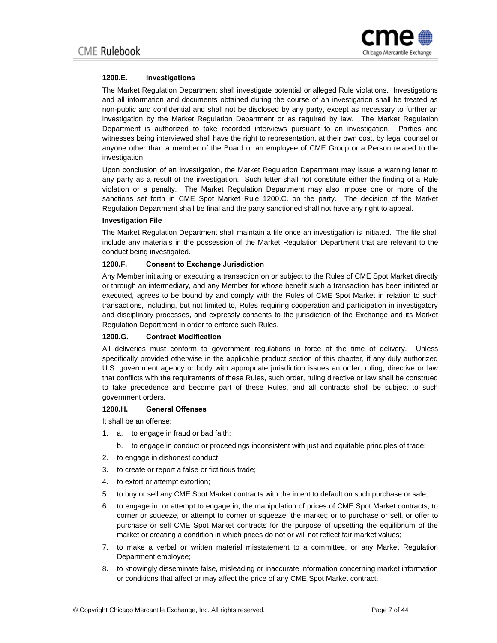

## **1200.E. Investigations**

The Market Regulation Department shall investigate potential or alleged Rule violations. Investigations and all information and documents obtained during the course of an investigation shall be treated as non-public and confidential and shall not be disclosed by any party, except as necessary to further an investigation by the Market Regulation Department or as required by law. The Market Regulation Department is authorized to take recorded interviews pursuant to an investigation. Parties and witnesses being interviewed shall have the right to representation, at their own cost, by legal counsel or anyone other than a member of the Board or an employee of CME Group or a Person related to the investigation.

Upon conclusion of an investigation, the Market Regulation Department may issue a warning letter to any party as a result of the investigation. Such letter shall not constitute either the finding of a Rule violation or a penalty. The Market Regulation Department may also impose one or more of the sanctions set forth in CME Spot Market Rule 1200.C. on the party. The decision of the Market Regulation Department shall be final and the party sanctioned shall not have any right to appeal.

#### **Investigation File**

The Market Regulation Department shall maintain a file once an investigation is initiated. The file shall include any materials in the possession of the Market Regulation Department that are relevant to the conduct being investigated.

## **1200.F. Consent to Exchange Jurisdiction**

Any Member initiating or executing a transaction on or subject to the Rules of CME Spot Market directly or through an intermediary, and any Member for whose benefit such a transaction has been initiated or executed, agrees to be bound by and comply with the Rules of CME Spot Market in relation to such transactions, including, but not limited to, Rules requiring cooperation and participation in investigatory and disciplinary processes, and expressly consents to the jurisdiction of the Exchange and its Market Regulation Department in order to enforce such Rules.

## **1200.G. Contract Modification**

All deliveries must conform to government regulations in force at the time of delivery. Unless specifically provided otherwise in the applicable product section of this chapter, if any duly authorized U.S. government agency or body with appropriate jurisdiction issues an order, ruling, directive or law that conflicts with the requirements of these Rules, such order, ruling directive or law shall be construed to take precedence and become part of these Rules, and all contracts shall be subject to such government orders.

## **1200.H. General Offenses**

It shall be an offense:

- 1. a. to engage in fraud or bad faith;
	- b. to engage in conduct or proceedings inconsistent with just and equitable principles of trade;
- 2. to engage in dishonest conduct;
- 3. to create or report a false or fictitious trade;
- 4. to extort or attempt extortion;
- 5. to buy or sell any CME Spot Market contracts with the intent to default on such purchase or sale;
- 6. to engage in, or attempt to engage in, the manipulation of prices of CME Spot Market contracts; to corner or squeeze, or attempt to corner or squeeze, the market; or to purchase or sell, or offer to purchase or sell CME Spot Market contracts for the purpose of upsetting the equilibrium of the market or creating a condition in which prices do not or will not reflect fair market values;
- 7. to make a verbal or written material misstatement to a committee, or any Market Regulation Department employee;
- 8. to knowingly disseminate false, misleading or inaccurate information concerning market information or conditions that affect or may affect the price of any CME Spot Market contract.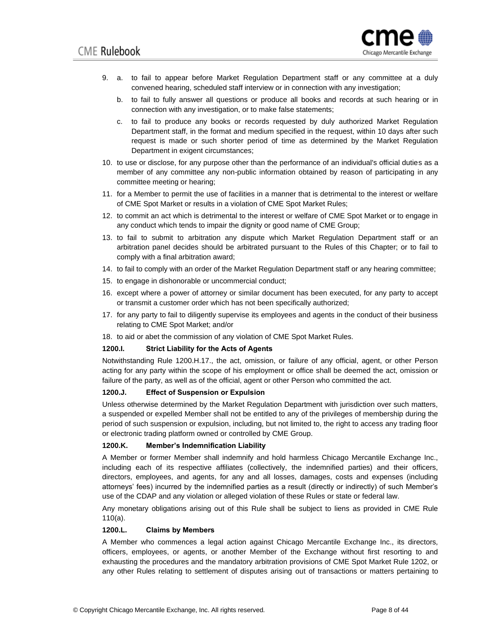

- 9. a. to fail to appear before Market Regulation Department staff or any committee at a duly convened hearing, scheduled staff interview or in connection with any investigation;
	- b. to fail to fully answer all questions or produce all books and records at such hearing or in connection with any investigation, or to make false statements;
	- c. to fail to produce any books or records requested by duly authorized Market Regulation Department staff, in the format and medium specified in the request, within 10 days after such request is made or such shorter period of time as determined by the Market Regulation Department in exigent circumstances;
- 10. to use or disclose, for any purpose other than the performance of an individual's official duties as a member of any committee any non-public information obtained by reason of participating in any committee meeting or hearing;
- 11. for a Member to permit the use of facilities in a manner that is detrimental to the interest or welfare of CME Spot Market or results in a violation of CME Spot Market Rules;
- 12. to commit an act which is detrimental to the interest or welfare of CME Spot Market or to engage in any conduct which tends to impair the dignity or good name of CME Group;
- 13. to fail to submit to arbitration any dispute which Market Regulation Department staff or an arbitration panel decides should be arbitrated pursuant to the Rules of this Chapter; or to fail to comply with a final arbitration award;
- 14. to fail to comply with an order of the Market Regulation Department staff or any hearing committee;
- 15. to engage in dishonorable or uncommercial conduct;
- 16. except where a power of attorney or similar document has been executed, for any party to accept or transmit a customer order which has not been specifically authorized;
- 17. for any party to fail to diligently supervise its employees and agents in the conduct of their business relating to CME Spot Market; and/or
- 18. to aid or abet the commission of any violation of CME Spot Market Rules.

## **1200.I. Strict Liability for the Acts of Agents**

Notwithstanding Rule 1200.H.17., the act, omission, or failure of any official, agent, or other Person acting for any party within the scope of his employment or office shall be deemed the act, omission or failure of the party, as well as of the official, agent or other Person who committed the act.

### **1200.J. Effect of Suspension or Expulsion**

Unless otherwise determined by the Market Regulation Department with jurisdiction over such matters, a suspended or expelled Member shall not be entitled to any of the privileges of membership during the period of such suspension or expulsion, including, but not limited to, the right to access any trading floor or electronic trading platform owned or controlled by CME Group.

#### **1200.K. Member's Indemnification Liability**

A Member or former Member shall indemnify and hold harmless Chicago Mercantile Exchange Inc., including each of its respective affiliates (collectively, the indemnified parties) and their officers, directors, employees, and agents, for any and all losses, damages, costs and expenses (including attorneys' fees) incurred by the indemnified parties as a result (directly or indirectly) of such Member's use of the CDAP and any violation or alleged violation of these Rules or state or federal law.

Any monetary obligations arising out of this Rule shall be subject to liens as provided in CME Rule 110(a).

## **1200.L. Claims by Members**

A Member who commences a legal action against Chicago Mercantile Exchange Inc., its directors, officers, employees, or agents, or another Member of the Exchange without first resorting to and exhausting the procedures and the mandatory arbitration provisions of CME Spot Market Rule 1202, or any other Rules relating to settlement of disputes arising out of transactions or matters pertaining to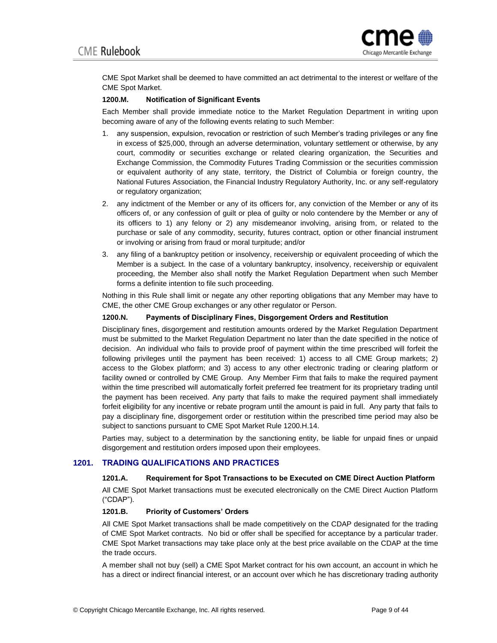

CME Spot Market shall be deemed to have committed an act detrimental to the interest or welfare of the CME Spot Market.

## **1200.M. Notification of Significant Events**

Each Member shall provide immediate notice to the Market Regulation Department in writing upon becoming aware of any of the following events relating to such Member:

- 1. any suspension, expulsion, revocation or restriction of such Member's trading privileges or any fine in excess of \$25,000, through an adverse determination, voluntary settlement or otherwise, by any court, commodity or securities exchange or related clearing organization, the Securities and Exchange Commission, the Commodity Futures Trading Commission or the securities commission or equivalent authority of any state, territory, the District of Columbia or foreign country, the National Futures Association, the Financial Industry Regulatory Authority, Inc. or any self-regulatory or regulatory organization;
- 2. any indictment of the Member or any of its officers for, any conviction of the Member or any of its officers of, or any confession of guilt or plea of guilty or nolo contendere by the Member or any of its officers to 1) any felony or 2) any misdemeanor involving, arising from, or related to the purchase or sale of any commodity, security, futures contract, option or other financial instrument or involving or arising from fraud or moral turpitude; and/or
- 3. any filing of a bankruptcy petition or insolvency, receivership or equivalent proceeding of which the Member is a subject. In the case of a voluntary bankruptcy, insolvency, receivership or equivalent proceeding, the Member also shall notify the Market Regulation Department when such Member forms a definite intention to file such proceeding.

Nothing in this Rule shall limit or negate any other reporting obligations that any Member may have to CME, the other CME Group exchanges or any other regulator or Person.

## **1200.N. Payments of Disciplinary Fines, Disgorgement Orders and Restitution**

Disciplinary fines, disgorgement and restitution amounts ordered by the Market Regulation Department must be submitted to the Market Regulation Department no later than the date specified in the notice of decision. An individual who fails to provide proof of payment within the time prescribed will forfeit the following privileges until the payment has been received: 1) access to all CME Group markets; 2) access to the Globex platform; and 3) access to any other electronic trading or clearing platform or facility owned or controlled by CME Group. Any Member Firm that fails to make the required payment within the time prescribed will automatically forfeit preferred fee treatment for its proprietary trading until the payment has been received. Any party that fails to make the required payment shall immediately forfeit eligibility for any incentive or rebate program until the amount is paid in full. Any party that fails to pay a disciplinary fine, disgorgement order or restitution within the prescribed time period may also be subject to sanctions pursuant to CME Spot Market Rule 1200.H.14.

Parties may, subject to a determination by the sanctioning entity, be liable for unpaid fines or unpaid disgorgement and restitution orders imposed upon their employees.

## **1201. TRADING QUALIFICATIONS AND PRACTICES**

## **1201.A. Requirement for Spot Transactions to be Executed on CME Direct Auction Platform**

All CME Spot Market transactions must be executed electronically on the CME Direct Auction Platform ("CDAP").

## **1201.B. Priority of Customers' Orders**

All CME Spot Market transactions shall be made competitively on the CDAP designated for the trading of CME Spot Market contracts. No bid or offer shall be specified for acceptance by a particular trader. CME Spot Market transactions may take place only at the best price available on the CDAP at the time the trade occurs.

A member shall not buy (sell) a CME Spot Market contract for his own account, an account in which he has a direct or indirect financial interest, or an account over which he has discretionary trading authority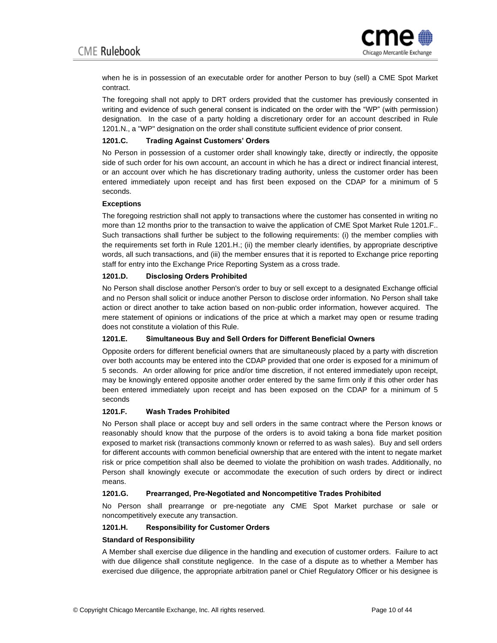

when he is in possession of an executable order for another Person to buy (sell) a CME Spot Market contract.

The foregoing shall not apply to DRT orders provided that the customer has previously consented in writing and evidence of such general consent is indicated on the order with the "WP" (with permission) designation. In the case of a party holding a discretionary order for an account described in Rule 1201.N., a "WP" designation on the order shall constitute sufficient evidence of prior consent.

## **1201.C. Trading Against Customers' Orders**

No Person in possession of a customer order shall knowingly take, directly or indirectly, the opposite side of such order for his own account, an account in which he has a direct or indirect financial interest, or an account over which he has discretionary trading authority, unless the customer order has been entered immediately upon receipt and has first been exposed on the CDAP for a minimum of 5 seconds.

#### **Exceptions**

The foregoing restriction shall not apply to transactions where the customer has consented in writing no more than 12 months prior to the transaction to waive the application of CME Spot Market Rule 1201.F.. Such transactions shall further be subject to the following requirements: (i) the member complies with the requirements set forth in Rule 1201.H.; (ii) the member clearly identifies, by appropriate descriptive words, all such transactions, and (iii) the member ensures that it is reported to Exchange price reporting staff for entry into the Exchange Price Reporting System as a cross trade.

## **1201.D. Disclosing Orders Prohibited**

No Person shall disclose another Person's order to buy or sell except to a designated Exchange official and no Person shall solicit or induce another Person to disclose order information. No Person shall take action or direct another to take action based on non-public order information, however acquired. The mere statement of opinions or indications of the price at which a market may open or resume trading does not constitute a violation of this Rule.

## **1201.E. Simultaneous Buy and Sell Orders for Different Beneficial Owners**

Opposite orders for different beneficial owners that are simultaneously placed by a party with discretion over both accounts may be entered into the CDAP provided that one order is exposed for a minimum of 5 seconds. An order allowing for price and/or time discretion, if not entered immediately upon receipt, may be knowingly entered opposite another order entered by the same firm only if this other order has been entered immediately upon receipt and has been exposed on the CDAP for a minimum of 5 seconds

## **1201.F. Wash Trades Prohibited**

No Person shall place or accept buy and sell orders in the same contract where the Person knows or reasonably should know that the purpose of the orders is to avoid taking a bona fide market position exposed to market risk (transactions commonly known or referred to as wash sales). Buy and sell orders for different accounts with common beneficial ownership that are entered with the intent to negate market risk or price competition shall also be deemed to violate the prohibition on wash trades. Additionally, no Person shall knowingly execute or accommodate the execution of such orders by direct or indirect means.

## **1201.G. Prearranged, Pre-Negotiated and Noncompetitive Trades Prohibited**

No Person shall prearrange or pre-negotiate any CME Spot Market purchase or sale or noncompetitively execute any transaction.

## **1201.H. Responsibility for Customer Orders**

## **Standard of Responsibility**

A Member shall exercise due diligence in the handling and execution of customer orders. Failure to act with due diligence shall constitute negligence. In the case of a dispute as to whether a Member has exercised due diligence, the appropriate arbitration panel or Chief Regulatory Officer or his designee is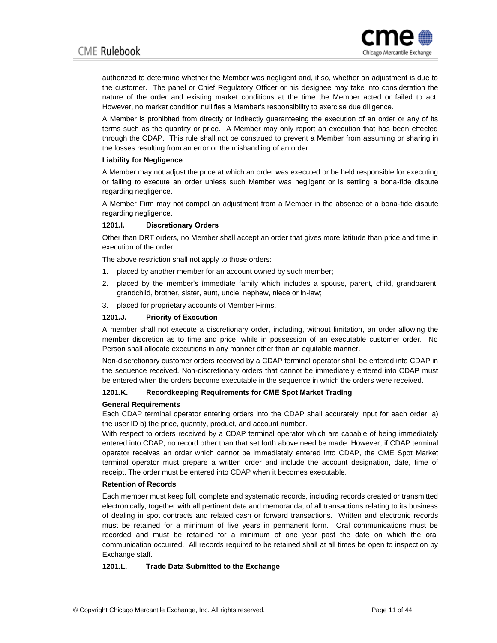

authorized to determine whether the Member was negligent and, if so, whether an adjustment is due to the customer. The panel or Chief Regulatory Officer or his designee may take into consideration the nature of the order and existing market conditions at the time the Member acted or failed to act. However, no market condition nullifies a Member's responsibility to exercise due diligence.

A Member is prohibited from directly or indirectly guaranteeing the execution of an order or any of its terms such as the quantity or price. A Member may only report an execution that has been effected through the CDAP. This rule shall not be construed to prevent a Member from assuming or sharing in the losses resulting from an error or the mishandling of an order.

#### **Liability for Negligence**

A Member may not adjust the price at which an order was executed or be held responsible for executing or failing to execute an order unless such Member was negligent or is settling a bona-fide dispute regarding negligence.

A Member Firm may not compel an adjustment from a Member in the absence of a bona-fide dispute regarding negligence.

## **1201.I. Discretionary Orders**

Other than DRT orders, no Member shall accept an order that gives more latitude than price and time in execution of the order.

The above restriction shall not apply to those orders:

- 1. placed by another member for an account owned by such member;
- 2. placed by the member's immediate family which includes a spouse, parent, child, grandparent, grandchild, brother, sister, aunt, uncle, nephew, niece or in-law;
- 3. placed for proprietary accounts of Member Firms.

## **1201.J. Priority of Execution**

A member shall not execute a discretionary order, including, without limitation, an order allowing the member discretion as to time and price, while in possession of an executable customer order. No Person shall allocate executions in any manner other than an equitable manner.

Non-discretionary customer orders received by a CDAP terminal operator shall be entered into CDAP in the sequence received. Non-discretionary orders that cannot be immediately entered into CDAP must be entered when the orders become executable in the sequence in which the orders were received.

## **1201.K. Recordkeeping Requirements for CME Spot Market Trading**

#### **General Requirements**

Each CDAP terminal operator entering orders into the CDAP shall accurately input for each order: a) the user ID b) the price, quantity, product, and account number.

With respect to orders received by a CDAP terminal operator which are capable of being immediately entered into CDAP, no record other than that set forth above need be made. However, if CDAP terminal operator receives an order which cannot be immediately entered into CDAP, the CME Spot Market terminal operator must prepare a written order and include the account designation, date, time of receipt. The order must be entered into CDAP when it becomes executable.

#### **Retention of Records**

Each member must keep full, complete and systematic records, including records created or transmitted electronically, together with all pertinent data and memoranda, of all transactions relating to its business of dealing in spot contracts and related cash or forward transactions. Written and electronic records must be retained for a minimum of five years in permanent form. Oral communications must be recorded and must be retained for a minimum of one year past the date on which the oral communication occurred. All records required to be retained shall at all times be open to inspection by Exchange staff.

## **1201.L. Trade Data Submitted to the Exchange**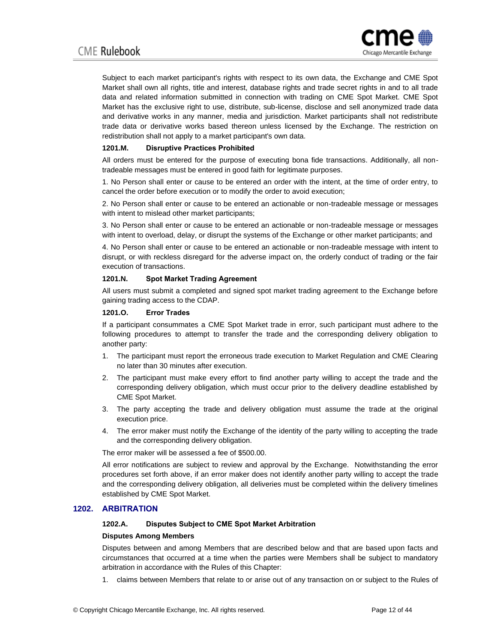

Subject to each market participant's rights with respect to its own data, the Exchange and CME Spot Market shall own all rights, title and interest, database rights and trade secret rights in and to all trade data and related information submitted in connection with trading on CME Spot Market. CME Spot Market has the exclusive right to use, distribute, sub-license, disclose and sell anonymized trade data and derivative works in any manner, media and jurisdiction. Market participants shall not redistribute trade data or derivative works based thereon unless licensed by the Exchange. The restriction on redistribution shall not apply to a market participant's own data.

## **1201.M. Disruptive Practices Prohibited**

All orders must be entered for the purpose of executing bona fide transactions. Additionally, all nontradeable messages must be entered in good faith for legitimate purposes.

1. No Person shall enter or cause to be entered an order with the intent, at the time of order entry, to cancel the order before execution or to modify the order to avoid execution;

2. No Person shall enter or cause to be entered an actionable or non-tradeable message or messages with intent to mislead other market participants;

3. No Person shall enter or cause to be entered an actionable or non-tradeable message or messages with intent to overload, delay, or disrupt the systems of the Exchange or other market participants; and

4. No Person shall enter or cause to be entered an actionable or non-tradeable message with intent to disrupt, or with reckless disregard for the adverse impact on, the orderly conduct of trading or the fair execution of transactions.

#### **1201.N. Spot Market Trading Agreement**

All users must submit a completed and signed spot market trading agreement to the Exchange before gaining trading access to the CDAP.

#### **1201.O. Error Trades**

If a participant consummates a CME Spot Market trade in error, such participant must adhere to the following procedures to attempt to transfer the trade and the corresponding delivery obligation to another party:

- 1. The participant must report the erroneous trade execution to Market Regulation and CME Clearing no later than 30 minutes after execution.
- 2. The participant must make every effort to find another party willing to accept the trade and the corresponding delivery obligation, which must occur prior to the delivery deadline established by CME Spot Market.
- 3. The party accepting the trade and delivery obligation must assume the trade at the original execution price.
- 4. The error maker must notify the Exchange of the identity of the party willing to accepting the trade and the corresponding delivery obligation.

The error maker will be assessed a fee of \$500.00.

All error notifications are subject to review and approval by the Exchange. Notwithstanding the error procedures set forth above, if an error maker does not identify another party willing to accept the trade and the corresponding delivery obligation, all deliveries must be completed within the delivery timelines established by CME Spot Market.

## **1202. ARBITRATION**

## **1202.A. Disputes Subject to CME Spot Market Arbitration**

## **Disputes Among Members**

Disputes between and among Members that are described below and that are based upon facts and circumstances that occurred at a time when the parties were Members shall be subject to mandatory arbitration in accordance with the Rules of this Chapter:

1. claims between Members that relate to or arise out of any transaction on or subject to the Rules of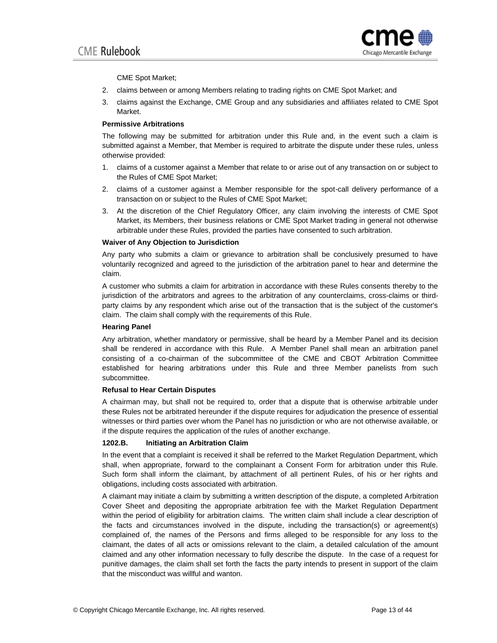

CME Spot Market;

- 2. claims between or among Members relating to trading rights on CME Spot Market; and
- 3. claims against the Exchange, CME Group and any subsidiaries and affiliates related to CME Spot Market.

#### **Permissive Arbitrations**

The following may be submitted for arbitration under this Rule and, in the event such a claim is submitted against a Member, that Member is required to arbitrate the dispute under these rules, unless otherwise provided:

- 1. claims of a customer against a Member that relate to or arise out of any transaction on or subject to the Rules of CME Spot Market;
- 2. claims of a customer against a Member responsible for the spot-call delivery performance of a transaction on or subject to the Rules of CME Spot Market;
- 3. At the discretion of the Chief Regulatory Officer, any claim involving the interests of CME Spot Market, its Members, their business relations or CME Spot Market trading in general not otherwise arbitrable under these Rules, provided the parties have consented to such arbitration.

#### **Waiver of Any Objection to Jurisdiction**

Any party who submits a claim or grievance to arbitration shall be conclusively presumed to have voluntarily recognized and agreed to the jurisdiction of the arbitration panel to hear and determine the claim.

A customer who submits a claim for arbitration in accordance with these Rules consents thereby to the jurisdiction of the arbitrators and agrees to the arbitration of any counterclaims, cross-claims or thirdparty claims by any respondent which arise out of the transaction that is the subject of the customer's claim. The claim shall comply with the requirements of this Rule.

## **Hearing Panel**

Any arbitration, whether mandatory or permissive, shall be heard by a Member Panel and its decision shall be rendered in accordance with this Rule. A Member Panel shall mean an arbitration panel consisting of a co-chairman of the subcommittee of the CME and CBOT Arbitration Committee established for hearing arbitrations under this Rule and three Member panelists from such subcommittee.

## **Refusal to Hear Certain Disputes**

A chairman may, but shall not be required to, order that a dispute that is otherwise arbitrable under these Rules not be arbitrated hereunder if the dispute requires for adjudication the presence of essential witnesses or third parties over whom the Panel has no jurisdiction or who are not otherwise available, or if the dispute requires the application of the rules of another exchange.

## **1202.B. Initiating an Arbitration Claim**

In the event that a complaint is received it shall be referred to the Market Regulation Department, which shall, when appropriate, forward to the complainant a Consent Form for arbitration under this Rule. Such form shall inform the claimant, by attachment of all pertinent Rules, of his or her rights and obligations, including costs associated with arbitration.

A claimant may initiate a claim by submitting a written description of the dispute, a completed Arbitration Cover Sheet and depositing the appropriate arbitration fee with the Market Regulation Department within the period of eligibility for arbitration claims. The written claim shall include a clear description of the facts and circumstances involved in the dispute, including the transaction(s) or agreement(s) complained of, the names of the Persons and firms alleged to be responsible for any loss to the claimant, the dates of all acts or omissions relevant to the claim, a detailed calculation of the amount claimed and any other information necessary to fully describe the dispute. In the case of a request for punitive damages, the claim shall set forth the facts the party intends to present in support of the claim that the misconduct was willful and wanton.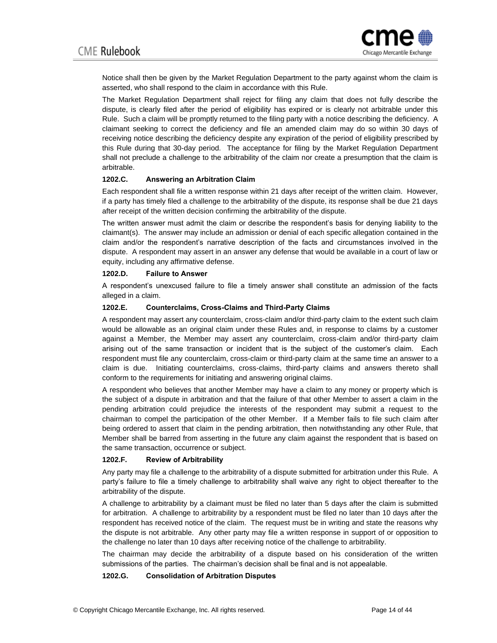

Notice shall then be given by the Market Regulation Department to the party against whom the claim is asserted, who shall respond to the claim in accordance with [this Rule.](http://rulebook.cme.com/rulebook10886.html#BM_602#BM_602)

The Market Regulation Department shall reject for filing any claim that does not fully describe the dispute, is clearly filed after the period of eligibility has expired or is clearly not arbitrable under this Rule. Such a claim will be promptly returned to the filing party with a notice describing the deficiency. A claimant seeking to correct the deficiency and file an amended claim may do so within 30 days of receiving notice describing the deficiency despite any expiration of the period of eligibility prescribed by this Rule during that 30-day period. The acceptance for filing by the Market Regulation Department shall not preclude a challenge to the arbitrability of the claim nor create a presumption that the claim is arbitrable.

## **1202.C. Answering an Arbitration Claim**

Each respondent shall file a written response within 21 days after receipt of the written claim. However, if a party has timely filed a challenge to the arbitrability of the dispute, its response shall be due 21 days after receipt of the written decision confirming the arbitrability of the dispute.

The written answer must admit the claim or describe the respondent's basis for denying liability to the claimant(s). The answer may include an admission or denial of each specific allegation contained in the claim and/or the respondent's narrative description of the facts and circumstances involved in the dispute. A respondent may assert in an answer any defense that would be available in a court of law or equity, including any affirmative defense.

#### **1202.D. Failure to Answer**

A respondent's unexcused failure to file a timely answer shall constitute an admission of the facts alleged in a claim.

#### **1202.E. Counterclaims, Cross-Claims and Third-Party Claims**

A respondent may assert any counterclaim, cross-claim and/or third-party claim to the extent such claim would be allowable as an original claim under these Rules and, in response to claims by a customer against a Member, the Member may assert any counterclaim, cross-claim and/or third-party claim arising out of the same transaction or incident that is the subject of the customer's claim. Each respondent must file any counterclaim, cross-claim or third-party claim at the same time an answer to a claim is due. Initiating counterclaims, cross-claims, third-party claims and answers thereto shall conform to the requirements for initiating and answering original claims.

A respondent who believes that another Member may have a claim to any money or property which is the subject of a dispute in arbitration and that the failure of that other Member to assert a claim in the pending arbitration could prejudice the interests of the respondent may submit a request to the chairman to compel the participation of the other Member. If a Member fails to file such claim after being ordered to assert that claim in the pending arbitration, then notwithstanding any other Rule, that Member shall be barred from asserting in the future any claim against the respondent that is based on the same transaction, occurrence or subject.

## **1202.F. Review of Arbitrability**

Any party may file a challenge to the arbitrability of a dispute submitted for arbitration under this Rule. A party's failure to file a timely challenge to arbitrability shall waive any right to object thereafter to the arbitrability of the dispute.

A challenge to arbitrability by a claimant must be filed no later than 5 days after the claim is submitted for arbitration. A challenge to arbitrability by a respondent must be filed no later than 10 days after the respondent has received notice of the claim. The request must be in writing and state the reasons why the dispute is not arbitrable. Any other party may file a written response in support of or opposition to the challenge no later than 10 days after receiving notice of the challenge to arbitrability.

The chairman may decide the arbitrability of a dispute based on his consideration of the written submissions of the parties. The chairman's decision shall be final and is not appealable.

## **1202.G. Consolidation of Arbitration Disputes**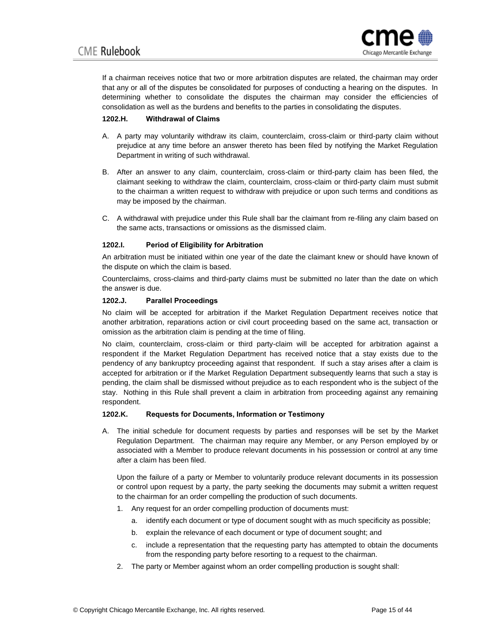

If a chairman receives notice that two or more arbitration disputes are related, the chairman may order that any or all of the disputes be consolidated for purposes of conducting a hearing on the disputes. In determining whether to consolidate the disputes the chairman may consider the efficiencies of consolidation as well as the burdens and benefits to the parties in consolidating the disputes.

## **1202.H. Withdrawal of Claims**

- A. A party may voluntarily withdraw its claim, counterclaim, cross-claim or third-party claim without prejudice at any time before an answer thereto has been filed by notifying the Market Regulation Department in writing of such withdrawal.
- B. After an answer to any claim, counterclaim, cross-claim or third-party claim has been filed, the claimant seeking to withdraw the claim, counterclaim, cross-claim or third-party claim must submit to the chairman a written request to withdraw with prejudice or upon such terms and conditions as may be imposed by the chairman.
- C. A withdrawal with prejudice under this Rule shall bar the claimant from re-filing any claim based on the same acts, transactions or omissions as the dismissed claim.

## **1202.I. Period of Eligibility for Arbitration**

An arbitration must be initiated within one year of the date the claimant knew or should have known of the dispute on which the claim is based.

Counterclaims, cross-claims and third-party claims must be submitted no later than the date on which the answer is due.

## **1202.J. Parallel Proceedings**

No claim will be accepted for arbitration if the Market Regulation Department receives notice that another arbitration, reparations action or civil court proceeding based on the same act, transaction or omission as the arbitration claim is pending at the time of filing.

No claim, counterclaim, cross-claim or third party-claim will be accepted for arbitration against a respondent if the Market Regulation Department has received notice that a stay exists due to the pendency of any bankruptcy proceeding against that respondent. If such a stay arises after a claim is accepted for arbitration or if the Market Regulation Department subsequently learns that such a stay is pending, the claim shall be dismissed without prejudice as to each respondent who is the subject of the stay. Nothing in this Rule shall prevent a claim in arbitration from proceeding against any remaining respondent.

## **1202.K. Requests for Documents, Information or Testimony**

A. The initial schedule for document requests by parties and responses will be set by the Market Regulation Department. The chairman may require any Member, or any Person employed by or associated with a Member to produce relevant documents in his possession or control at any time after a claim has been filed.

Upon the failure of a party or Member to voluntarily produce relevant documents in its possession or control upon request by a party, the party seeking the documents may submit a written request to the chairman for an order compelling the production of such documents.

- 1. Any request for an order compelling production of documents must:
	- a. identify each document or type of document sought with as much specificity as possible;
	- b. explain the relevance of each document or type of document sought; and
	- c. include a representation that the requesting party has attempted to obtain the documents from the responding party before resorting to a request to the chairman.
- 2. The party or Member against whom an order compelling production is sought shall: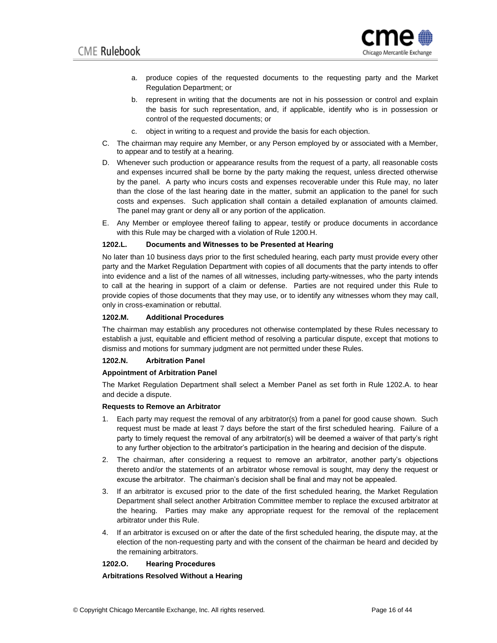

- a. produce copies of the requested documents to the requesting party and the Market Regulation Department; or
- b. represent in writing that the documents are not in his possession or control and explain the basis for such representation, and, if applicable, identify who is in possession or control of the requested documents; or
- c. object in writing to a request and provide the basis for each objection.
- C. The chairman may require any Member, or any Person employed by or associated with a Member, to appear and to testify at a hearing.
- D. Whenever such production or appearance results from the request of a party, all reasonable costs and expenses incurred shall be borne by the party making the request, unless directed otherwise by the panel. A party who incurs costs and expenses recoverable under this Rule may, no later than the close of the last hearing date in the matter, submit an application to the panel for such costs and expenses. Such application shall contain a detailed explanation of amounts claimed. The panel may grant or deny all or any portion of the application.
- E. Any Member or employee thereof failing to appear, testify or produce documents in accordance with this Rule may be charged with a violation of Rule 1200.H.

## **1202.L. Documents and Witnesses to be Presented at Hearing**

No later than 10 business days prior to the first scheduled hearing, each party must provide every other party and the Market Regulation Department with copies of all documents that the party intends to offer into evidence and a list of the names of all witnesses, including party-witnesses, who the party intends to call at the hearing in support of a claim or defense. Parties are not required under this Rule to provide copies of those documents that they may use, or to identify any witnesses whom they may call, only in cross-examination or rebuttal.

#### **1202.M. Additional Procedures**

The chairman may establish any procedures not otherwise contemplated by these Rules necessary to establish a just, equitable and efficient method of resolving a particular dispute, except that motions to dismiss and motions for summary judgment are not permitted under these Rules.

## **1202.N. Arbitration Panel**

#### **Appointment of Arbitration Panel**

The Market Regulation Department shall select a Member Panel as set forth in Rule 1202.A. to hear and decide a dispute.

#### **Requests to Remove an Arbitrator**

- 1. Each party may request the removal of any arbitrator(s) from a panel for good cause shown. Such request must be made at least 7 days before the start of the first scheduled hearing. Failure of a party to timely request the removal of any arbitrator(s) will be deemed a waiver of that party's right to any further objection to the arbitrator's participation in the hearing and decision of the dispute.
- 2. The chairman, after considering a request to remove an arbitrator, another party's objections thereto and/or the statements of an arbitrator whose removal is sought, may deny the request or excuse the arbitrator. The chairman's decision shall be final and may not be appealed.
- 3. If an arbitrator is excused prior to the date of the first scheduled hearing, the Market Regulation Department shall select another Arbitration Committee member to replace the excused arbitrator at the hearing. Parties may make any appropriate request for the removal of the replacement arbitrator under this Rule.
- 4. If an arbitrator is excused on or after the date of the first scheduled hearing, the dispute may, at the election of the non-requesting party and with the consent of the chairman be heard and decided by the remaining arbitrators.

#### **1202.O. Hearing Procedures**

#### **Arbitrations Resolved Without a Hearing**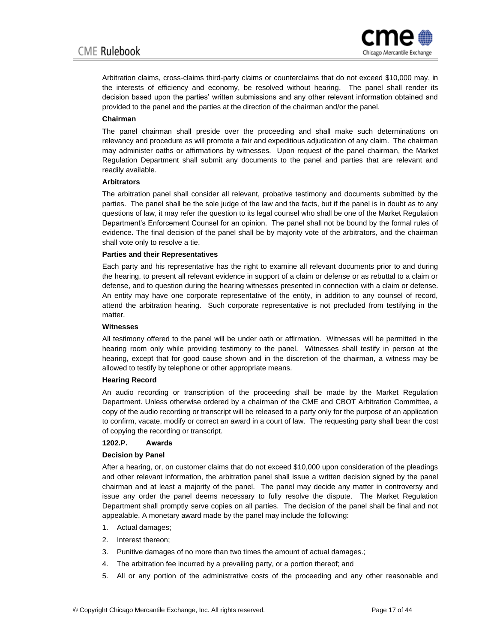

Arbitration claims, cross-claims third-party claims or counterclaims that do not exceed \$10,000 may, in the interests of efficiency and economy, be resolved without hearing. The panel shall render its decision based upon the parties' written submissions and any other relevant information obtained and provided to the panel and the parties at the direction of the chairman and/or the panel.

## **Chairman**

The panel chairman shall preside over the proceeding and shall make such determinations on relevancy and procedure as will promote a fair and expeditious adjudication of any claim. The chairman may administer oaths or affirmations by witnesses. Upon request of the panel chairman, the Market Regulation Department shall submit any documents to the panel and parties that are relevant and readily available.

## **Arbitrators**

The arbitration panel shall consider all relevant, probative testimony and documents submitted by the parties. The panel shall be the sole judge of the law and the facts, but if the panel is in doubt as to any questions of law, it may refer the question to its legal counsel who shall be one of the Market Regulation Department's Enforcement Counsel for an opinion. The panel shall not be bound by the formal rules of evidence. The final decision of the panel shall be by majority vote of the arbitrators, and the chairman shall vote only to resolve a tie.

## **Parties and their Representatives**

Each party and his representative has the right to examine all relevant documents prior to and during the hearing, to present all relevant evidence in support of a claim or defense or as rebuttal to a claim or defense, and to question during the hearing witnesses presented in connection with a claim or defense. An entity may have one corporate representative of the entity, in addition to any counsel of record, attend the arbitration hearing. Such corporate representative is not precluded from testifying in the matter.

## **Witnesses**

All testimony offered to the panel will be under oath or affirmation. Witnesses will be permitted in the hearing room only while providing testimony to the panel. Witnesses shall testify in person at the hearing, except that for good cause shown and in the discretion of the chairman, a witness may be allowed to testify by telephone or other appropriate means.

## **Hearing Record**

An audio recording or transcription of the proceeding shall be made by the Market Regulation Department. Unless otherwise ordered by a chairman of the CME and CBOT Arbitration Committee, a copy of the audio recording or transcript will be released to a party only for the purpose of an application to confirm, vacate, modify or correct an award in a court of law. The requesting party shall bear the cost of copying the recording or transcript.

## **1202.P. Awards**

## **Decision by Panel**

After a hearing, or, on customer claims that do not exceed \$10,000 upon consideration of the pleadings and other relevant information, the arbitration panel shall issue a written decision signed by the panel chairman and at least a majority of the panel. The panel may decide any matter in controversy and issue any order the panel deems necessary to fully resolve the dispute. The Market Regulation Department shall promptly serve copies on all parties. The decision of the panel shall be final and not appealable. A monetary award made by the panel may include the following:

- 1. Actual damages;
- 2. Interest thereon;
- 3. Punitive damages of no more than two times the amount of actual damages.;
- 4. The arbitration fee incurred by a prevailing party, or a portion thereof; and
- 5. All or any portion of the administrative costs of the proceeding and any other reasonable and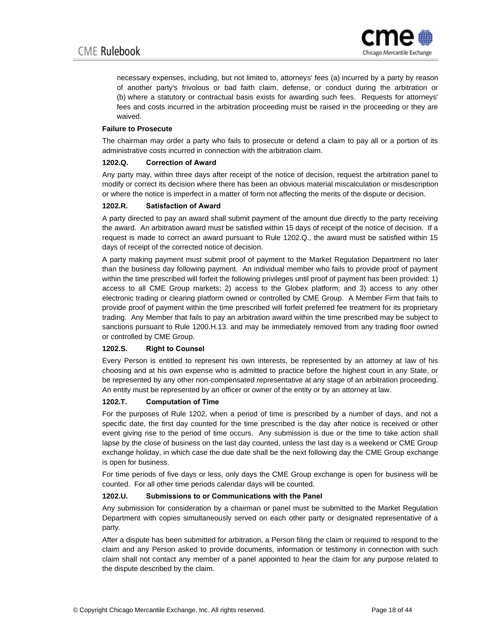

necessary expenses, including, but not limited to, attorneys' fees (a) incurred by a party by reason of another party's frivolous or bad faith claim, defense, or conduct during the arbitration or (b) where a statutory or contractual basis exists for awarding such fees. Requests for attorneys' fees and costs incurred in the arbitration proceeding must be raised in the proceeding or they are waived.

## **Failure to Prosecute**

The chairman may order a party who fails to prosecute or defend a claim to pay all or a portion of its administrative costs incurred in connection with the arbitration claim.

## **1202.Q. Correction of Award**

Any party may, within three days after receipt of the notice of decision, request the arbitration panel to modify or correct its decision where there has been an obvious material miscalculation or misdescription or where the notice is imperfect in a matter of form not affecting the merits of the dispute or decision.

## **1202.R. Satisfaction of Award**

A party directed to pay an award shall submit payment of the amount due directly to the party receiving the award. An arbitration award must be satisfied within 15 days of receipt of the notice of decision. If a request is made to correct an award pursuant to Rule 1202.Q., the award must be satisfied within 15 days of receipt of the corrected notice of decision.

A party making payment must submit proof of payment to the Market Regulation Department no later than the business day following payment. An individual member who fails to provide proof of payment within the time prescribed will forfeit the following privileges until proof of payment has been provided: 1) access to all CME Group markets; 2) access to the Globex platform; and 3) access to any other electronic trading or clearing platform owned or controlled by CME Group. A Member Firm that fails to provide proof of payment within the time prescribed will forfeit preferred fee treatment for its proprietary trading. Any Member that fails to pay an arbitration award within the time prescribed may be subject to sanctions pursuant to Rule 1200.H.13. and may be immediately removed from any trading floor owned or controlled by CME Group.

## **1202.S. Right to Counsel**

Every Person is entitled to represent his own interests, be represented by an attorney at law of his choosing and at his own expense who is admitted to practice before the highest court in any State, or be represented by any other non-compensated representative at any stage of an arbitration proceeding. An entity must be represented by an officer or owner of the entity or by an attorney at law.

## **1202.T. Computation of Time**

For the purposes of Rule 1202, when a period of time is prescribed by a number of days, and not a specific date, the first day counted for the time prescribed is the day after notice is received or other event giving rise to the period of time occurs. Any submission is due or the time to take action shall lapse by the close of business on the last day counted, unless the last day is a weekend or CME Group exchange holiday, in which case the due date shall be the next following day the CME Group exchange is open for business.

For time periods of five days or less, only days the CME Group exchange is open for business will be counted. For all other time periods calendar days will be counted.

## **1202.U. Submissions to or Communications with the Panel**

Any submission for consideration by a chairman or panel must be submitted to the Market Regulation Department with copies simultaneously served on each other party or designated representative of a party.

After a dispute has been submitted for arbitration, a Person filing the claim or required to respond to the claim and any Person asked to provide documents, information or testimony in connection with such claim shall not contact any member of a panel appointed to hear the claim for any purpose related to the dispute described by the claim.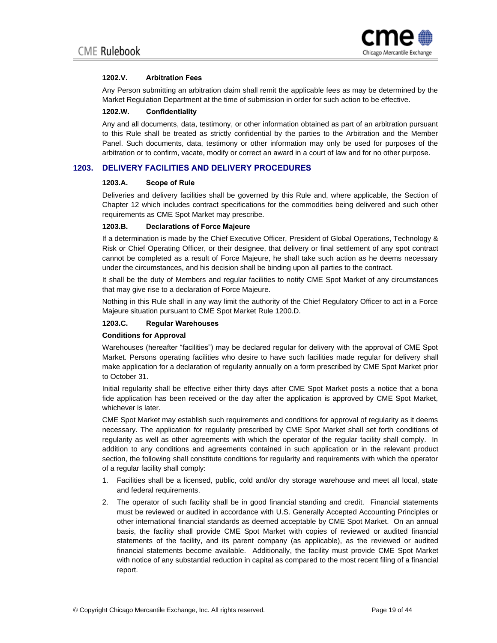

## **1202.V. Arbitration Fees**

Any Person submitting an arbitration claim shall remit the applicable fees as may be determined by the Market Regulation Department at the time of submission in order for such action to be effective.

### **1202.W. Confidentiality**

Any and all documents, data, testimony, or other information obtained as part of an arbitration pursuant to this Rule shall be treated as strictly confidential by the parties to the Arbitration and the Member Panel. Such documents, data, testimony or other information may only be used for purposes of the arbitration or to confirm, vacate, modify or correct an award in a court of law and for no other purpose.

## **1203. DELIVERY FACILITIES AND DELIVERY PROCEDURES**

## **1203.A. Scope of Rule**

Deliveries and delivery facilities shall be governed by this Rule and, where applicable, the Section of Chapter 12 which includes contract specifications for the commodities being delivered and such other requirements as CME Spot Market may prescribe.

## **1203.B. Declarations of Force Majeure**

If a determination is made by the Chief Executive Officer, President of Global Operations, Technology & Risk or Chief Operating Officer, or their designee, that delivery or final settlement of any spot contract cannot be completed as a result of Force Majeure, he shall take such action as he deems necessary under the circumstances, and his decision shall be binding upon all parties to the contract.

It shall be the duty of Members and regular facilities to notify CME Spot Market of any circumstances that may give rise to a declaration of Force Majeure.

Nothing in this Rule shall in any way limit the authority of the Chief Regulatory Officer to act in a Force Majeure situation pursuant to CME Spot Market Rule 1200.D.

## **1203.C. Regular Warehouses**

#### **Conditions for Approval**

Warehouses (hereafter "facilities") may be declared regular for delivery with the approval of CME Spot Market. Persons operating facilities who desire to have such facilities made regular for delivery shall make application for a declaration of regularity annually on a form prescribed by CME Spot Market prior to October 31.

Initial regularity shall be effective either thirty days after CME Spot Market posts a notice that a bona fide application has been received or the day after the application is approved by CME Spot Market, whichever is later.

CME Spot Market may establish such requirements and conditions for approval of regularity as it deems necessary. The application for regularity prescribed by CME Spot Market shall set forth conditions of regularity as well as other agreements with which the operator of the regular facility shall comply. In addition to any conditions and agreements contained in such application or in the relevant product section, the following shall constitute conditions for regularity and requirements with which the operator of a regular facility shall comply:

- 1. Facilities shall be a licensed, public, cold and/or dry storage warehouse and meet all local, state and federal requirements.
- 2. The operator of such facility shall be in good financial standing and credit. Financial statements must be reviewed or audited in accordance with U.S. Generally Accepted Accounting Principles or other international financial standards as deemed acceptable by CME Spot Market. On an annual basis, the facility shall provide CME Spot Market with copies of reviewed or audited financial statements of the facility, and its parent company (as applicable), as the reviewed or audited financial statements become available. Additionally, the facility must provide CME Spot Market with notice of any substantial reduction in capital as compared to the most recent filing of a financial report.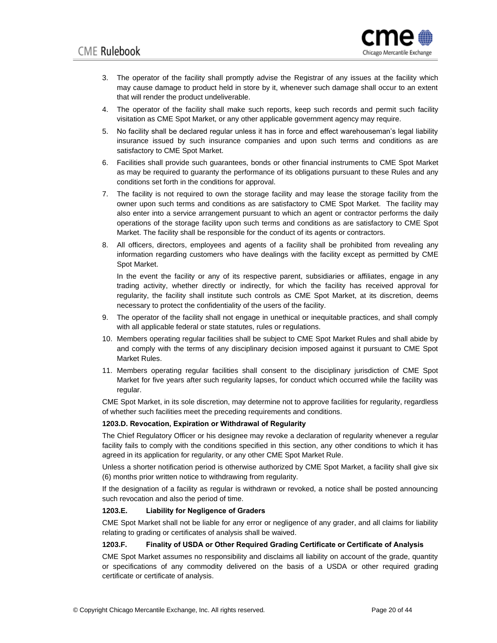

- 3. The operator of the facility shall promptly advise the Registrar of any issues at the facility which may cause damage to product held in store by it, whenever such damage shall occur to an extent that will render the product undeliverable.
- 4. The operator of the facility shall make such reports, keep such records and permit such facility visitation as CME Spot Market, or any other applicable government agency may require.
- 5. No facility shall be declared regular unless it has in force and effect warehouseman's legal liability insurance issued by such insurance companies and upon such terms and conditions as are satisfactory to CME Spot Market.
- 6. Facilities shall provide such guarantees, bonds or other financial instruments to CME Spot Market as may be required to guaranty the performance of its obligations pursuant to these Rules and any conditions set forth in the conditions for approval.
- 7. The facility is not required to own the storage facility and may lease the storage facility from the owner upon such terms and conditions as are satisfactory to CME Spot Market. The facility may also enter into a service arrangement pursuant to which an agent or contractor performs the daily operations of the storage facility upon such terms and conditions as are satisfactory to CME Spot Market. The facility shall be responsible for the conduct of its agents or contractors.
- 8. All officers, directors, employees and agents of a facility shall be prohibited from revealing any information regarding customers who have dealings with the facility except as permitted by CME Spot Market.

In the event the facility or any of its respective parent, subsidiaries or affiliates, engage in any trading activity, whether directly or indirectly, for which the facility has received approval for regularity, the facility shall institute such controls as CME Spot Market, at its discretion, deems necessary to protect the confidentiality of the users of the facility.

- 9. The operator of the facility shall not engage in unethical or inequitable practices, and shall comply with all applicable federal or state statutes, rules or regulations.
- 10. Members operating regular facilities shall be subject to CME Spot Market Rules and shall abide by and comply with the terms of any disciplinary decision imposed against it pursuant to CME Spot Market Rules.
- 11. Members operating regular facilities shall consent to the disciplinary jurisdiction of CME Spot Market for five years after such regularity lapses, for conduct which occurred while the facility was regular.

CME Spot Market, in its sole discretion, may determine not to approve facilities for regularity, regardless of whether such facilities meet the preceding requirements and conditions.

## **1203.D. Revocation, Expiration or Withdrawal of Regularity**

The Chief Regulatory Officer or his designee may revoke a declaration of regularity whenever a regular facility fails to comply with the conditions specified in this section, any other conditions to which it has agreed in its application for regularity, or any other CME Spot Market Rule.

Unless a shorter notification period is otherwise authorized by CME Spot Market, a facility shall give six (6) months prior written notice to withdrawing from regularity.

If the designation of a facility as regular is withdrawn or revoked, a notice shall be posted announcing such revocation and also the period of time.

## **1203.E. Liability for Negligence of Graders**

CME Spot Market shall not be liable for any error or negligence of any grader, and all claims for liability relating to grading or certificates of analysis shall be waived.

## **1203.F. Finality of USDA or Other Required Grading Certificate or Certificate of Analysis**

CME Spot Market assumes no responsibility and disclaims all liability on account of the grade, quantity or specifications of any commodity delivered on the basis of a USDA or other required grading certificate or certificate of analysis.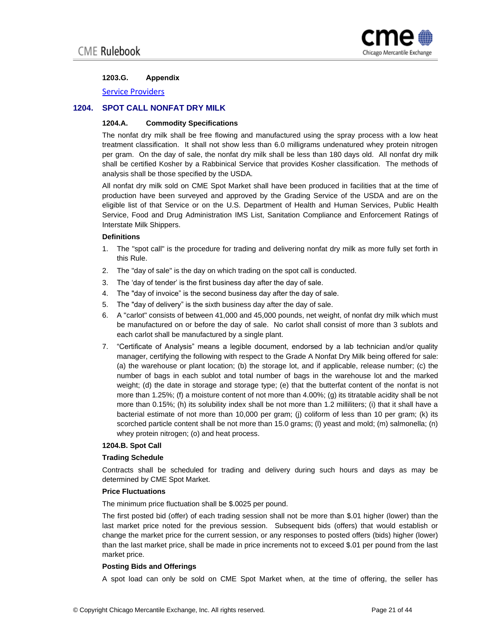

## **1203.G. Appendix**

[Service Providers](https://www.cmegroup.com/tools-information/lookups/advisories/ser/files/spot-market-service-providers.xlsx)

## **1204. SPOT CALL NONFAT DRY MILK**

## **1204.A. Commodity Specifications**

The nonfat dry milk shall be free flowing and manufactured using the spray process with a low heat treatment classification. It shall not show less than 6.0 milligrams undenatured whey protein nitrogen per gram. On the day of sale, the nonfat dry milk shall be less than 180 days old. All nonfat dry milk shall be certified Kosher by a Rabbinical Service that provides Kosher classification. The methods of analysis shall be those specified by the USDA.

All nonfat dry milk sold on CME Spot Market shall have been produced in facilities that at the time of production have been surveyed and approved by the Grading Service of the USDA and are on the eligible list of that Service or on the U.S. Department of Health and Human Services, Public Health Service, Food and Drug Administration IMS List, Sanitation Compliance and Enforcement Ratings of Interstate Milk Shippers.

## **Definitions**

- 1. The "spot call" is the procedure for trading and delivering nonfat dry milk as more fully set forth in this Rule.
- 2. The "day of sale" is the day on which trading on the spot call is conducted.
- 3. The 'day of tender' is the first business day after the day of sale.
- 4. The "day of invoice" is the second business day after the day of sale.
- 5. The "day of delivery" is the sixth business day after the day of sale.
- 6. A "carlot" consists of between 41,000 and 45,000 pounds, net weight, of nonfat dry milk which must be manufactured on or before the day of sale. No carlot shall consist of more than 3 sublots and each carlot shall be manufactured by a single plant.
- 7. "Certificate of Analysis" means a legible document, endorsed by a lab technician and/or quality manager, certifying the following with respect to the Grade A Nonfat Dry Milk being offered for sale: (a) the warehouse or plant location; (b) the storage lot, and if applicable, release number; (c) the number of bags in each sublot and total number of bags in the warehouse lot and the marked weight; (d) the date in storage and storage type; (e) that the butterfat content of the nonfat is not more than 1.25%; (f) a moisture content of not more than 4.00%; (g) its titratable acidity shall be not more than 0.15%; (h) its solubility index shall be not more than 1.2 milliliters; (i) that it shall have a bacterial estimate of not more than 10,000 per gram; (j) coliform of less than 10 per gram; (k) its scorched particle content shall be not more than 15.0 grams; (I) yeast and mold; (m) salmonella; (n) whey protein nitrogen; (o) and heat process.

## **1204.B. Spot Call**

## **Trading Schedule**

Contracts shall be scheduled for trading and delivery during such hours and days as may be determined by CME Spot Market.

## **Price Fluctuations**

The minimum price fluctuation shall be \$.0025 per pound.

The first posted bid (offer) of each trading session shall not be more than \$.01 higher (lower) than the last market price noted for the previous session. Subsequent bids (offers) that would establish or change the market price for the current session, or any responses to posted offers (bids) higher (lower) than the last market price, shall be made in price increments not to exceed \$.01 per pound from the last market price.

## **Posting Bids and Offerings**

A spot load can only be sold on CME Spot Market when, at the time of offering, the seller has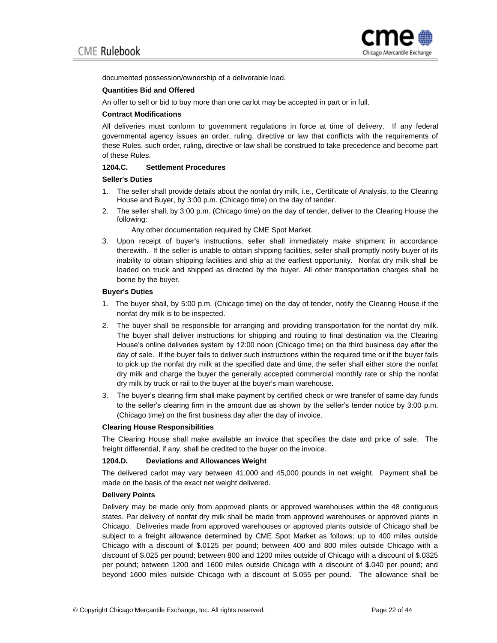

documented possession/ownership of a deliverable load.

#### **Quantities Bid and Offered**

An offer to sell or bid to buy more than one carlot may be accepted in part or in full.

#### **Contract Modifications**

All deliveries must conform to government regulations in force at time of delivery. If any federal governmental agency issues an order, ruling, directive or law that conflicts with the requirements of these Rules, such order, ruling, directive or law shall be construed to take precedence and become part of these Rules.

## **1204.C. Settlement Procedures**

#### **Seller's Duties**

- 1. The seller shall provide details about the nonfat dry milk, i.e., Certificate of Analysis, to the Clearing House and Buyer, by 3:00 p.m. (Chicago time) on the day of tender.
- 2. The seller shall, by 3:00 p.m. (Chicago time) on the day of tender, deliver to the Clearing House the following:

Any other documentation required by CME Spot Market.

3. Upon receipt of buyer's instructions, seller shall immediately make shipment in accordance therewith. If the seller is unable to obtain shipping facilities, seller shall promptly notify buyer of its inability to obtain shipping facilities and ship at the earliest opportunity. Nonfat dry milk shall be loaded on truck and shipped as directed by the buyer. All other transportation charges shall be borne by the buyer.

#### **Buyer's Duties**

- 1. The buyer shall, by 5:00 p.m. (Chicago time) on the day of tender, notify the Clearing House if the nonfat dry milk is to be inspected.
- 2. The buyer shall be responsible for arranging and providing transportation for the nonfat dry milk. The buyer shall deliver instructions for shipping and routing to final destination via the Clearing House's online deliveries system by 12:00 noon (Chicago time) on the third business day after the day of sale. If the buyer fails to deliver such instructions within the required time or if the buyer fails to pick up the nonfat dry milk at the specified date and time, the seller shall either store the nonfat dry milk and charge the buyer the generally accepted commercial monthly rate or ship the nonfat dry milk by truck or rail to the buyer at the buyer's main warehouse.
- 3. The buyer's clearing firm shall make payment by certified check or wire transfer of same day funds to the seller's clearing firm in the amount due as shown by the seller's tender notice by 3:00 p.m. (Chicago time) on the first business day after the day of invoice.

## **Clearing House Responsibilities**

The Clearing House shall make available an invoice that specifies the date and price of sale. The freight differential, if any, shall be credited to the buyer on the invoice.

## **1204.D. Deviations and Allowances Weight**

The delivered carlot may vary between 41,000 and 45,000 pounds in net weight. Payment shall be made on the basis of the exact net weight delivered.

## **Delivery Points**

Delivery may be made only from approved plants or approved warehouses within the 48 contiguous states. Par delivery of nonfat dry milk shall be made from approved warehouses or approved plants in Chicago. Deliveries made from approved warehouses or approved plants outside of Chicago shall be subject to a freight allowance determined by CME Spot Market as follows: up to 400 miles outside Chicago with a discount of \$.0125 per pound; between 400 and 800 miles outside Chicago with a discount of \$.025 per pound; between 800 and 1200 miles outside of Chicago with a discount of \$.0325 per pound; between 1200 and 1600 miles outside Chicago with a discount of \$.040 per pound; and beyond 1600 miles outside Chicago with a discount of \$.055 per pound. The allowance shall be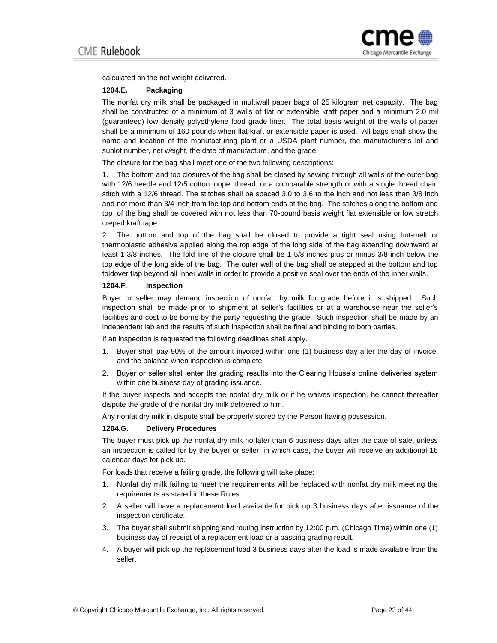

calculated on the net weight delivered.

## **1204.E. Packaging**

The nonfat dry milk shall be packaged in multiwall paper bags of 25 kilogram net capacity. The bag shall be constructed of a minimum of 3 walls of flat or extensible kraft paper and a minimum 2.0 mil (guaranteed) low density polyethylene food grade liner. The total basis weight of the walls of paper shall be a minimum of 160 pounds when flat kraft or extensible paper is used. All bags shall show the name and location of the manufacturing plant or a USDA plant number, the manufacturer's lot and sublot number, net weight, the date of manufacture, and the grade.

The closure for the bag shall meet one of the two following descriptions:

1. The bottom and top closures of the bag shall be closed by sewing through all walls of the outer bag with 12/6 needle and 12/5 cotton looper thread, or a comparable strength or with a single thread chain stitch with a 12/6 thread. The stitches shall be spaced 3.0 to 3.6 to the inch and not less than 3/8 inch and not more than 3/4 inch from the top and bottom ends of the bag. The stitches along the bottom and top of the bag shall be covered with not less than 70-pound basis weight flat extensible or low stretch creped kraft tape.

2. The bottom and top of the bag shall be closed to provide a tight seal using hot-melt or thermoplastic adhesive applied along the top edge of the long side of the bag extending downward at least 1-3/8 inches. The fold line of the closure shall be 1-5/8 inches plus or minus 3/8 inch below the top edge of the long side of the bag. The outer wall of the bag shall be stepped at the bottom and top foldover flap beyond all inner walls in order to provide a positive seal over the ends of the inner walls.

## **1204.F. Inspection**

Buyer or seller may demand inspection of nonfat dry milk for grade before it is shipped. Such inspection shall be made prior to shipment at seller's facilities or at a warehouse near the seller's facilities and cost to be borne by the party requesting the grade. Such inspection shall be made by an independent lab and the results of such inspection shall be final and binding to both parties.

If an inspection is requested the following deadlines shall apply.

- 1. Buyer shall pay 90% of the amount invoiced within one (1) business day after the day of invoice, and the balance when inspection is complete.
- 2. Buyer or seller shall enter the grading results into the Clearing House's online deliveries system within one business day of grading issuance.

If the buyer inspects and accepts the nonfat dry milk or if he waives inspection, he cannot thereafter dispute the grade of the nonfat dry milk delivered to him.

Any nonfat dry milk in dispute shall be properly stored by the Person having possession.

## **1204.G. Delivery Procedures**

The buyer must pick up the nonfat dry milk no later than 6 business days after the date of sale, unless an inspection is called for by the buyer or seller, in which case, the buyer will receive an additional 16 calendar days for pick up.

For loads that receive a failing grade, the following will take place:

- 1. Nonfat dry milk failing to meet the requirements will be replaced with nonfat dry milk meeting the requirements as stated in these Rules.
- 2. A seller will have a replacement load available for pick up 3 business days after issuance of the inspection certificate.
- 3. The buyer shall submit shipping and routing instruction by 12:00 p.m. (Chicago Time) within one (1) business day of receipt of a replacement load or a passing grading result.
- 4. A buyer will pick up the replacement load 3 business days after the load is made available from the seller.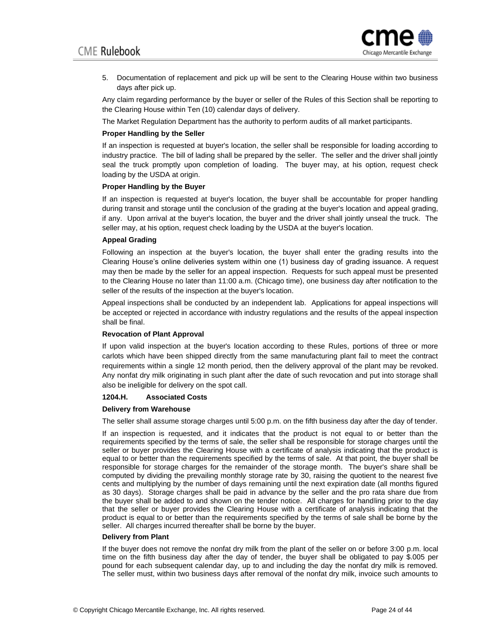

5. Documentation of replacement and pick up will be sent to the Clearing House within two business days after pick up.

Any claim regarding performance by the buyer or seller of the Rules of this Section shall be reporting to the Clearing House within Ten (10) calendar days of delivery.

The Market Regulation Department has the authority to perform audits of all market participants.

#### **Proper Handling by the Seller**

If an inspection is requested at buyer's location, the seller shall be responsible for loading according to industry practice. The bill of lading shall be prepared by the seller. The seller and the driver shall jointly seal the truck promptly upon completion of loading. The buyer may, at his option, request check loading by the USDA at origin.

#### **Proper Handling by the Buyer**

If an inspection is requested at buyer's location, the buyer shall be accountable for proper handling during transit and storage until the conclusion of the grading at the buyer's location and appeal grading, if any. Upon arrival at the buyer's location, the buyer and the driver shall jointly unseal the truck. The seller may, at his option, request check loading by the USDA at the buyer's location.

#### **Appeal Grading**

Following an inspection at the buyer's location, the buyer shall enter the grading results into the Clearing House's online deliveries system within one (1) business day of grading issuance. A request may then be made by the seller for an appeal inspection. Requests for such appeal must be presented to the Clearing House no later than 11:00 a.m. (Chicago time), one business day after notification to the seller of the results of the inspection at the buyer's location.

Appeal inspections shall be conducted by an independent lab. Applications for appeal inspections will be accepted or rejected in accordance with industry regulations and the results of the appeal inspection shall be final.

## **Revocation of Plant Approval**

If upon valid inspection at the buyer's location according to these Rules, portions of three or more carlots which have been shipped directly from the same manufacturing plant fail to meet the contract requirements within a single 12 month period, then the delivery approval of the plant may be revoked. Any nonfat dry milk originating in such plant after the date of such revocation and put into storage shall also be ineligible for delivery on the spot call.

#### **1204.H. Associated Costs**

#### **Delivery from Warehouse**

The seller shall assume storage charges until 5:00 p.m. on the fifth business day after the day of tender.

If an inspection is requested, and it indicates that the product is not equal to or better than the requirements specified by the terms of sale, the seller shall be responsible for storage charges until the seller or buyer provides the Clearing House with a certificate of analysis indicating that the product is equal to or better than the requirements specified by the terms of sale. At that point, the buyer shall be responsible for storage charges for the remainder of the storage month. The buyer's share shall be computed by dividing the prevailing monthly storage rate by 30, raising the quotient to the nearest five cents and multiplying by the number of days remaining until the next expiration date (all months figured as 30 days). Storage charges shall be paid in advance by the seller and the pro rata share due from the buyer shall be added to and shown on the tender notice. All charges for handling prior to the day that the seller or buyer provides the Clearing House with a certificate of analysis indicating that the product is equal to or better than the requirements specified by the terms of sale shall be borne by the seller. All charges incurred thereafter shall be borne by the buyer.

#### **Delivery from Plant**

If the buyer does not remove the nonfat dry milk from the plant of the seller on or before 3:00 p.m. local time on the fifth business day after the day of tender, the buyer shall be obligated to pay \$.005 per pound for each subsequent calendar day, up to and including the day the nonfat dry milk is removed. The seller must, within two business days after removal of the nonfat dry milk, invoice such amounts to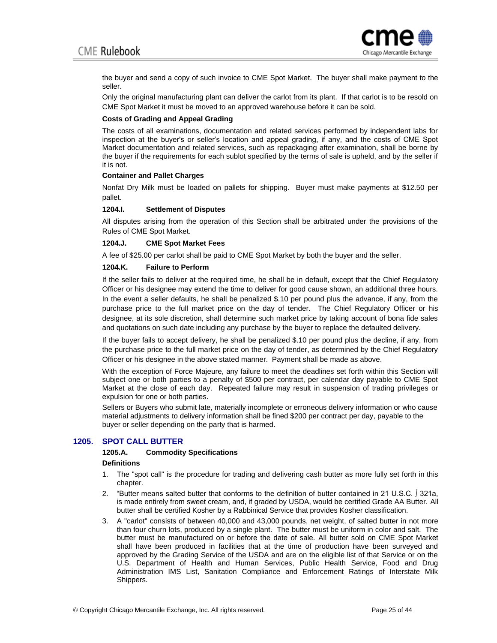

the buyer and send a copy of such invoice to CME Spot Market. The buyer shall make payment to the seller.

Only the original manufacturing plant can deliver the carlot from its plant. If that carlot is to be resold on CME Spot Market it must be moved to an approved warehouse before it can be sold.

#### **Costs of Grading and Appeal Grading**

The costs of all examinations, documentation and related services performed by independent labs for inspection at the buyer's or seller's location and appeal grading, if any, and the costs of CME Spot Market documentation and related services, such as repackaging after examination, shall be borne by the buyer if the requirements for each sublot specified by the terms of sale is upheld, and by the seller if it is not.

#### **Container and Pallet Charges**

Nonfat Dry Milk must be loaded on pallets for shipping. Buyer must make payments at \$12.50 per pallet.

#### **1204.I. Settlement of Disputes**

All disputes arising from the operation of this Section shall be arbitrated under the provisions of the Rules of CME Spot Market.

## **1204.J. CME Spot Market Fees**

A fee of \$25.00 per carlot shall be paid to CME Spot Market by both the buyer and the seller.

#### **1204.K. Failure to Perform**

If the seller fails to deliver at the required time, he shall be in default, except that the Chief Regulatory Officer or his designee may extend the time to deliver for good cause shown, an additional three hours. In the event a seller defaults, he shall be penalized \$.10 per pound plus the advance, if any, from the purchase price to the full market price on the day of tender. The Chief Regulatory Officer or his designee, at its sole discretion, shall determine such market price by taking account of bona fide sales and quotations on such date including any purchase by the buyer to replace the defaulted delivery.

If the buyer fails to accept delivery, he shall be penalized \$.10 per pound plus the decline, if any, from the purchase price to the full market price on the day of tender, as determined by the Chief Regulatory Officer or his designee in the above stated manner. Payment shall be made as above.

With the exception of Force Majeure, any failure to meet the deadlines set forth within this Section will subject one or both parties to a penalty of \$500 per contract, per calendar day payable to CME Spot Market at the close of each day. Repeated failure may result in suspension of trading privileges or expulsion for one or both parties.

Sellers or Buyers who submit late, materially incomplete or erroneous delivery information or who cause material adjustments to delivery information shall be fined \$200 per contract per day, payable to the buyer or seller depending on the party that is harmed.

## **1205. SPOT CALL BUTTER**

## **1205.A. Commodity Specifications**

#### **Definitions**

- 1. The "spot call" is the procedure for trading and delivering cash butter as more fully set forth in this chapter.
- 2. "Butter means salted butter that conforms to the definition of butter contained in 21 U.S.C. ∫ 321a, is made entirely from sweet cream, and, if graded by USDA, would be certified Grade AA Butter. All butter shall be certified Kosher by a Rabbinical Service that provides Kosher classification.
- 3. A "carlot" consists of between 40,000 and 43,000 pounds, net weight, of salted butter in not more than four churn lots, produced by a single plant. The butter must be uniform in color and salt. The butter must be manufactured on or before the date of sale. All butter sold on CME Spot Market shall have been produced in facilities that at the time of production have been surveyed and approved by the Grading Service of the USDA and are on the eligible list of that Service or on the U.S. Department of Health and Human Services, Public Health Service, Food and Drug Administration IMS List, Sanitation Compliance and Enforcement Ratings of Interstate Milk Shippers.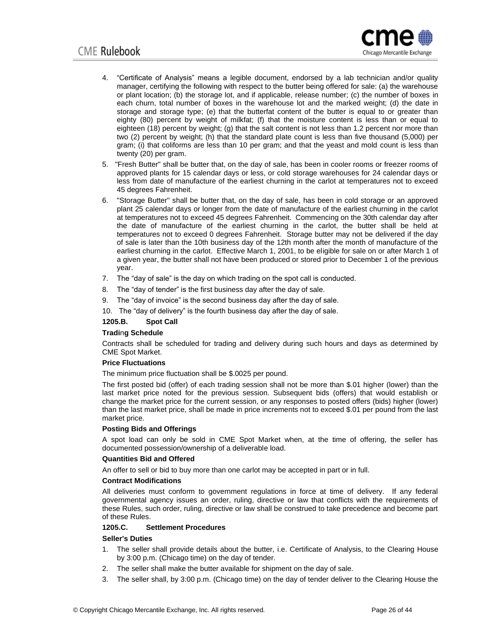

- 4. "Certificate of Analysis" means a legible document, endorsed by a lab technician and/or quality manager, certifying the following with respect to the butter being offered for sale: (a) the warehouse or plant location; (b) the storage lot, and if applicable, release number; (c) the number of boxes in each churn, total number of boxes in the warehouse lot and the marked weight; (d) the date in storage and storage type; (e) that the butterfat content of the butter is equal to or greater than eighty (80) percent by weight of milkfat; (f) that the moisture content is less than or equal to eighteen (18) percent by weight; (g) that the salt content is not less than 1.2 percent nor more than two (2) percent by weight; (h) that the standard plate count is less than five thousand (5,000) per gram; (i) that coliforms are less than 10 per gram; and that the yeast and mold count is less than twenty (20) per gram.
- 5. "Fresh Butter" shall be butter that, on the day of sale, has been in cooler rooms or freezer rooms of approved plants for 15 calendar days or less, or cold storage warehouses for 24 calendar days or less from date of manufacture of the earliest churning in the carlot at temperatures not to exceed 45 degrees Fahrenheit.
- 6. "Storage Butter" shall be butter that, on the day of sale, has been in cold storage or an approved plant 25 calendar days or longer from the date of manufacture of the earliest churning in the carlot at temperatures not to exceed 45 degrees Fahrenheit. Commencing on the 30th calendar day after the date of manufacture of the earliest churning in the carlot, the butter shall be held at temperatures not to exceed 0 degrees Fahrenheit. Storage butter may not be delivered if the day of sale is later than the 10th business day of the 12th month after the month of manufacture of the earliest churning in the carlot. Effective March 1, 2001, to be eligible for sale on or after March 1 of a given year, the butter shall not have been produced or stored prior to December 1 of the previous year.
- 7. The "day of sale" is the day on which trading on the spot call is conducted.
- 8. The "day of tender" is the first business day after the day of sale.
- 9. The "day of invoice" is the second business day after the day of sale.

10. The "day of delivery" is the fourth business day after the day of sale.

## **1205.B. Spot Call**

## **Tradi**n**g Schedule**

Contracts shall be scheduled for trading and delivery during such hours and days as determined by CME Spot Market.

#### **Price Fluctuations**

The minimum price fluctuation shall be \$.0025 per pound.

The first posted bid (offer) of each trading session shall not be more than \$.01 higher (lower) than the last market price noted for the previous session. Subsequent bids (offers) that would establish or change the market price for the current session, or any responses to posted offers (bids) higher (lower) than the last market price, shall be made in price increments not to exceed \$.01 per pound from the last market price.

#### **Posting Bids and Offerings**

A spot load can only be sold in CME Spot Market when, at the time of offering, the seller has documented possession/ownership of a deliverable load.

#### **Quantities Bid and Offered**

An offer to sell or bid to buy more than one carlot may be accepted in part or in full.

#### **Contract Modifications**

All deliveries must conform to government regulations in force at time of delivery. If any federal governmental agency issues an order, ruling, directive or law that conflicts with the requirements of these Rules, such order, ruling, directive or law shall be construed to take precedence and become part of these Rules.

#### **1205.C. Settlement Procedures**

#### **Seller's Duties**

- 1. The seller shall provide details about the butter, i.e. Certificate of Analysis, to the Clearing House by 3:00 p.m. (Chicago time) on the day of tender.
- 2. The seller shall make the butter available for shipment on the day of sale.
- 3. The seller shall, by 3:00 p.m. (Chicago time) on the day of tender deliver to the Clearing House the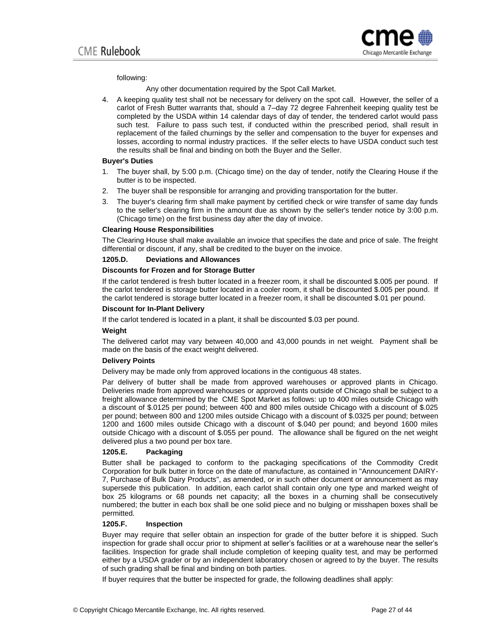

#### following:

Any other documentation required by the Spot Call Market.

4. A keeping quality test shall not be necessary for delivery on the spot call. However, the seller of a carlot of Fresh Butter warrants that, should a 7–day 72 degree Fahrenheit keeping quality test be completed by the USDA within 14 calendar days of day of tender, the tendered carlot would pass such test. Failure to pass such test, if conducted within the prescribed period, shall result in replacement of the failed churnings by the seller and compensation to the buyer for expenses and losses, according to normal industry practices. If the seller elects to have USDA conduct such test the results shall be final and binding on both the Buyer and the Seller.

#### **Buyer's Duties**

- 1. The buyer shall, by 5:00 p.m. (Chicago time) on the day of tender, notify the Clearing House if the butter is to be inspected.
- 2. The buyer shall be responsible for arranging and providing transportation for the butter.
- 3. The buyer's clearing firm shall make payment by certified check or wire transfer of same day funds to the seller's clearing firm in the amount due as shown by the seller's tender notice by 3:00 p.m. (Chicago time) on the first business day after the day of invoice.

#### **Clearing House Responsibilities**

The Clearing House shall make available an invoice that specifies the date and price of sale. The freight differential or discount, if any, shall be credited to the buyer on the invoice.

#### **1205.D. Deviations and Allowances**

#### **Discounts for Frozen and for Storage Butter**

If the carlot tendered is fresh butter located in a freezer room, it shall be discounted \$.005 per pound. If the carlot tendered is storage butter located in a cooler room, it shall be discounted \$.005 per pound. If the carlot tendered is storage butter located in a freezer room, it shall be discounted \$.01 per pound.

#### **Discount for In-Plant Delivery**

If the carlot tendered is located in a plant, it shall be discounted \$.03 per pound.

## **Weight**

The delivered carlot may vary between 40,000 and 43,000 pounds in net weight. Payment shall be made on the basis of the exact weight delivered.

## **Delivery Points**

Delivery may be made only from approved locations in the contiguous 48 states.

Par delivery of butter shall be made from approved warehouses or approved plants in Chicago. Deliveries made from approved warehouses or approved plants outside of Chicago shall be subject to a freight allowance determined by the CME Spot Market as follows: up to 400 miles outside Chicago with a discount of \$.0125 per pound; between 400 and 800 miles outside Chicago with a discount of \$.025 per pound; between 800 and 1200 miles outside Chicago with a discount of \$.0325 per pound; between 1200 and 1600 miles outside Chicago with a discount of \$.040 per pound; and beyond 1600 miles outside Chicago with a discount of \$.055 per pound. The allowance shall be figured on the net weight delivered plus a two pound per box tare.

#### **1205.E. Packaging**

Butter shall be packaged to conform to the packaging specifications of the Commodity Credit Corporation for bulk butter in force on the date of manufacture, as contained in "Announcement DAIRY-7, Purchase of Bulk Dairy Products", as amended, or in such other document or announcement as may supersede this publication. In addition, each carlot shall contain only one type and marked weight of box 25 kilograms or 68 pounds net capacity; all the boxes in a churning shall be consecutively numbered; the butter in each box shall be one solid piece and no bulging or misshapen boxes shall be permitted.

#### **1205.F. Inspection**

Buyer may require that seller obtain an inspection for grade of the butter before it is shipped. Such inspection for grade shall occur prior to shipment at seller's facilities or at a warehouse near the seller's facilities. Inspection for grade shall include completion of keeping quality test, and may be performed either by a USDA grader or by an independent laboratory chosen or agreed to by the buyer. The results of such grading shall be final and binding on both parties.

If buyer requires that the butter be inspected for grade, the following deadlines shall apply: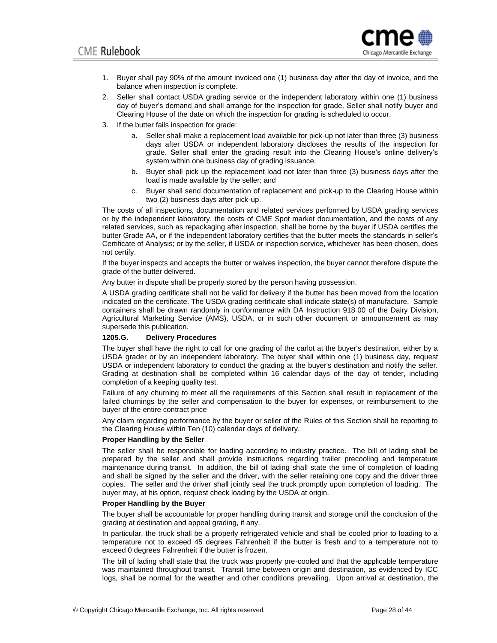

- 1. Buyer shall pay 90% of the amount invoiced one (1) business day after the day of invoice, and the balance when inspection is complete.
- 2. Seller shall contact USDA grading service or the independent laboratory within one (1) business day of buyer's demand and shall arrange for the inspection for grade. Seller shall notify buyer and Clearing House of the date on which the inspection for grading is scheduled to occur.
- 3. If the butter fails inspection for grade:
	- a. Seller shall make a replacement load available for pick-up not later than three (3) business days after USDA or independent laboratory discloses the results of the inspection for grade. Seller shall enter the grading result into the Clearing House's online delivery's system within one business day of grading issuance.
	- b. Buyer shall pick up the replacement load not later than three (3) business days after the load is made available by the seller; and
	- c. Buyer shall send documentation of replacement and pick-up to the Clearing House within two (2) business days after pick-up.

The costs of all inspections, documentation and related services performed by USDA grading services or by the independent laboratory, the costs of CME Spot market documentation, and the costs of any related services, such as repackaging after inspection, shall be borne by the buyer if USDA certifies the butter Grade AA, or if the independent laboratory certifies that the butter meets the standards in seller's Certificate of Analysis; or by the seller, if USDA or inspection service, whichever has been chosen, does not certify.

If the buyer inspects and accepts the butter or waives inspection, the buyer cannot therefore dispute the grade of the butter delivered.

Any butter in dispute shall be properly stored by the person having possession.

A USDA grading certificate shall not be valid for delivery if the butter has been moved from the location indicated on the certificate. The USDA grading certificate shall indicate state(s) of manufacture. Sample containers shall be drawn randomly in conformance with DA Instruction 918 00 of the Dairy Division, Agricultural Marketing Service (AMS), USDA, or in such other document or announcement as may supersede this publication.

#### **1205.G. Delivery Procedures**

The buyer shall have the right to call for one grading of the carlot at the buyer's destination, either by a USDA grader or by an independent laboratory. The buyer shall within one (1) business day, request USDA or independent laboratory to conduct the grading at the buyer's destination and notify the seller. Grading at destination shall be completed within 16 calendar days of the day of tender, including completion of a keeping quality test.

Failure of any churning to meet all the requirements of this Section shall result in replacement of the failed churnings by the seller and compensation to the buyer for expenses, or reimbursement to the buyer of the entire contract price

Any claim regarding performance by the buyer or seller of the Rules of this Section shall be reporting to the Clearing House within Ten (10) calendar days of delivery.

## **Proper Handling by the Seller**

The seller shall be responsible for loading according to industry practice. The bill of lading shall be prepared by the seller and shall provide instructions regarding trailer precooling and temperature maintenance during transit. In addition, the bill of lading shall state the time of completion of loading and shall be signed by the seller and the driver, with the seller retaining one copy and the driver three copies. The seller and the driver shall jointly seal the truck promptly upon completion of loading. The buyer may, at his option, request check loading by the USDA at origin.

#### **Proper Handling by the Buyer**

The buyer shall be accountable for proper handling during transit and storage until the conclusion of the grading at destination and appeal grading, if any.

In particular, the truck shall be a properly refrigerated vehicle and shall be cooled prior to loading to a temperature not to exceed 45 degrees Fahrenheit if the butter is fresh and to a temperature not to exceed 0 degrees Fahrenheit if the butter is frozen.

The bill of lading shall state that the truck was properly pre-cooled and that the applicable temperature was maintained throughout transit. Transit time between origin and destination, as evidenced by ICC logs, shall be normal for the weather and other conditions prevailing. Upon arrival at destination, the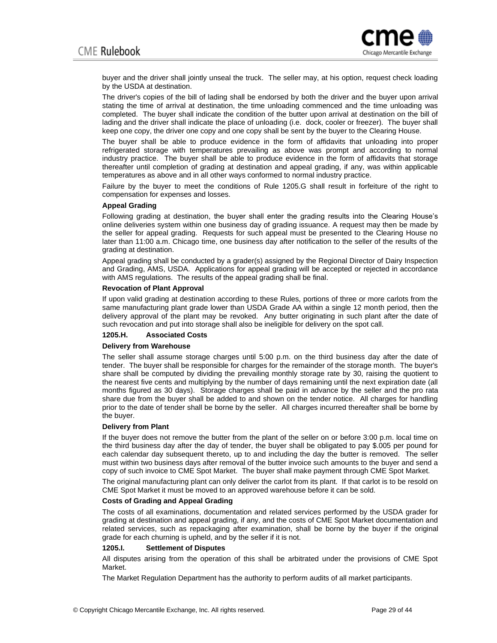

buyer and the driver shall jointly unseal the truck. The seller may, at his option, request check loading by the USDA at destination.

The driver's copies of the bill of lading shall be endorsed by both the driver and the buyer upon arrival stating the time of arrival at destination, the time unloading commenced and the time unloading was completed. The buyer shall indicate the condition of the butter upon arrival at destination on the bill of lading and the driver shall indicate the place of unloading (i.e. dock, cooler or freezer). The buyer shall keep one copy, the driver one copy and one copy shall be sent by the buyer to the Clearing House.

The buyer shall be able to produce evidence in the form of affidavits that unloading into proper refrigerated storage with temperatures prevailing as above was prompt and according to normal industry practice. The buyer shall be able to produce evidence in the form of affidavits that storage thereafter until completion of grading at destination and appeal grading, if any, was within applicable temperatures as above and in all other ways conformed to normal industry practice.

Failure by the buyer to meet the conditions of Rule 1205.G shall result in forfeiture of the right to compensation for expenses and losses.

#### **Appeal Grading**

Following grading at destination, the buyer shall enter the grading results into the Clearing House's online deliveries system within one business day of grading issuance. A request may then be made by the seller for appeal grading. Requests for such appeal must be presented to the Clearing House no later than 11:00 a.m. Chicago time, one business day after notification to the seller of the results of the grading at destination.

Appeal grading shall be conducted by a grader(s) assigned by the Regional Director of Dairy Inspection and Grading, AMS, USDA. Applications for appeal grading will be accepted or rejected in accordance with AMS regulations. The results of the appeal grading shall be final.

#### **Revocation of Plant Approval**

If upon valid grading at destination according to these Rules, portions of three or more carlots from the same manufacturing plant grade lower than USDA Grade AA within a single 12 month period, then the delivery approval of the plant may be revoked. Any butter originating in such plant after the date of such revocation and put into storage shall also be ineligible for delivery on the spot call.

#### **1205.H. Associated Costs**

#### **Delivery from Warehouse**

The seller shall assume storage charges until 5:00 p.m. on the third business day after the date of tender. The buyer shall be responsible for charges for the remainder of the storage month. The buyer's share shall be computed by dividing the prevailing monthly storage rate by 30, raising the quotient to the nearest five cents and multiplying by the number of days remaining until the next expiration date (all months figured as 30 days). Storage charges shall be paid in advance by the seller and the pro rata share due from the buyer shall be added to and shown on the tender notice. All charges for handling prior to the date of tender shall be borne by the seller. All charges incurred thereafter shall be borne by the buyer.

#### **Delivery from Plant**

If the buyer does not remove the butter from the plant of the seller on or before 3:00 p.m. local time on the third business day after the day of tender, the buyer shall be obligated to pay \$.005 per pound for each calendar day subsequent thereto, up to and including the day the butter is removed. The seller must within two business days after removal of the butter invoice such amounts to the buyer and send a copy of such invoice to CME Spot Market. The buyer shall make payment through CME Spot Market.

The original manufacturing plant can only deliver the carlot from its plant. If that carlot is to be resold on CME Spot Market it must be moved to an approved warehouse before it can be sold.

#### **Costs of Grading and Appeal Grading**

The costs of all examinations, documentation and related services performed by the USDA grader for grading at destination and appeal grading, if any, and the costs of CME Spot Market documentation and related services, such as repackaging after examination, shall be borne by the buyer if the original grade for each churning is upheld, and by the seller if it is not.

#### **1205.I. Settlement of Disputes**

All disputes arising from the operation of this shall be arbitrated under the provisions of CME Spot Market.

The Market Regulation Department has the authority to perform audits of all market participants.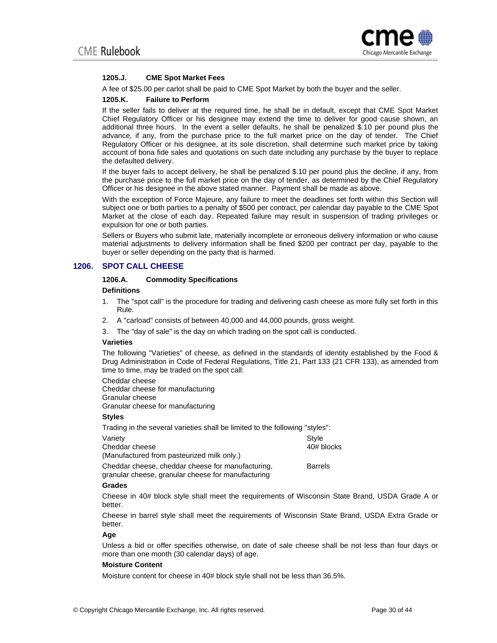

#### **1205.J. CME Spot Market Fees**

A fee of \$25.00 per carlot shall be paid to CME Spot Market by both the buyer and the seller.

#### **1205.K. Failure to Perform**

If the seller fails to deliver at the required time, he shall be in default, except that CME Spot Market Chief Regulatory Officer or his designee may extend the time to deliver for good cause shown, an additional three hours. In the event a seller defaults, he shall be penalized \$.10 per pound plus the advance, if any, from the purchase price to the full market price on the day of tender. The Chief Regulatory Officer or his designee, at its sole discretion, shall determine such market price by taking account of bona fide sales and quotations on such date including any purchase by the buyer to replace the defaulted delivery.

If the buyer fails to accept delivery, he shall be penalized \$.10 per pound plus the decline, if any, from the purchase price to the full market price on the day of tender, as determined by the Chief Regulatory Officer or his designee in the above stated manner. Payment shall be made as above.

With the exception of Force Majeure, any failure to meet the deadlines set forth within this Section will subject one or both parties to a penalty of \$500 per contract, per calendar day payable to the CME Spot Market at the close of each day. Repeated failure may result in suspension of trading privileges or expulsion for one or both parties.

Sellers or Buyers who submit late, materially incomplete or erroneous delivery information or who cause material adjustments to delivery information shall be fined \$200 per contract per day, payable to the buyer or seller depending on the party that is harmed.

#### **1206. SPOT CALL CHEESE**

## **1206.A. Commodity Specifications**

#### **Definitions**

- 1. The "spot call" is the procedure for trading and delivering cash cheese as more fully set forth in this Rule.
- 2. A "carload" consists of between 40,000 and 44,000 pounds, gross weight.
- 3. The "day of sale" is the day on which trading on the spot call is conducted.

#### **Varieties**

The following "Varieties" of cheese, as defined in the standards of identity established by the Food & Drug Administration in Code of Federal Regulations, Title 21, Part 133 (21 CFR 133), as amended from time to time, may be traded on the spot call:

Cheddar cheese Cheddar cheese for manufacturing Granular cheese Granular cheese for manufacturing

#### **Styles**

Trading in the several varieties shall be limited to the following "styles":

| Varietv                                           | Style          |
|---------------------------------------------------|----------------|
| Cheddar cheese                                    | 40# blocks     |
| (Manufactured from pasteurized milk only.)        |                |
| Cheddar cheese, cheddar cheese for manufacturing, | <b>Barrels</b> |

granular cheese, granular cheese for manufacturing

#### **Grades**

Cheese in 40# block style shall meet the requirements of Wisconsin State Brand, USDA Grade A or better.

Cheese in barrel style shall meet the requirements of Wisconsin State Brand, USDA Extra Grade or better.

**Age** 

Unless a bid or offer specifies otherwise, on date of sale cheese shall be not less than four days or more than one month (30 calendar days) of age.

#### **Moisture Content**

Moisture content for cheese in 40# block style shall not be less than 36.5%.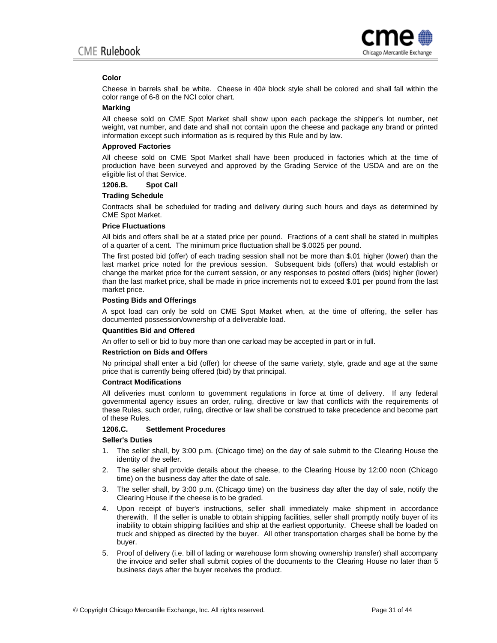

## **Color**

Cheese in barrels shall be white. Cheese in 40# block style shall be colored and shall fall within the color range of 6-8 on the NCI color chart.

#### **Marking**

All cheese sold on CME Spot Market shall show upon each package the shipper's lot number, net weight, vat number, and date and shall not contain upon the cheese and package any brand or printed information except such information as is required by this Rule and by law.

## **Approved Factories**

All cheese sold on CME Spot Market shall have been produced in factories which at the time of production have been surveyed and approved by the Grading Service of the USDA and are on the eligible list of that Service.

**1206.B. Spot Call** 

#### **Trading Schedule**

Contracts shall be scheduled for trading and delivery during such hours and days as determined by CME Spot Market.

#### **Price Fluctuations**

All bids and offers shall be at a stated price per pound. Fractions of a cent shall be stated in multiples of a quarter of a cent. The minimum price fluctuation shall be \$.0025 per pound.

The first posted bid (offer) of each trading session shall not be more than \$.01 higher (lower) than the last market price noted for the previous session. Subsequent bids (offers) that would establish or change the market price for the current session, or any responses to posted offers (bids) higher (lower) than the last market price, shall be made in price increments not to exceed \$.01 per pound from the last market price.

#### **Posting Bids and Offerings**

A spot load can only be sold on CME Spot Market when, at the time of offering, the seller has documented possession/ownership of a deliverable load.

#### **Quantities Bid and Offered**

An offer to sell or bid to buy more than one carload may be accepted in part or in full.

#### **Restriction on Bids and Offers**

No principal shall enter a bid (offer) for cheese of the same variety, style, grade and age at the same price that is currently being offered (bid) by that principal.

#### **Contract Modifications**

All deliveries must conform to government regulations in force at time of delivery. If any federal governmental agency issues an order, ruling, directive or law that conflicts with the requirements of these Rules, such order, ruling, directive or law shall be construed to take precedence and become part of these Rules.

## **1206.C. Settlement Procedures**

#### **Seller's Duties**

- 1. The seller shall, by 3:00 p.m. (Chicago time) on the day of sale submit to the Clearing House the identity of the seller.
- 2. The seller shall provide details about the cheese, to the Clearing House by 12:00 noon (Chicago time) on the business day after the date of sale.
- 3. The seller shall, by 3:00 p.m. (Chicago time) on the business day after the day of sale, notify the Clearing House if the cheese is to be graded.
- 4. Upon receipt of buyer's instructions, seller shall immediately make shipment in accordance therewith. If the seller is unable to obtain shipping facilities, seller shall promptly notify buyer of its inability to obtain shipping facilities and ship at the earliest opportunity. Cheese shall be loaded on truck and shipped as directed by the buyer. All other transportation charges shall be borne by the buyer.
- 5. Proof of delivery (i.e. bill of lading or warehouse form showing ownership transfer) shall accompany the invoice and seller shall submit copies of the documents to the Clearing House no later than 5 business days after the buyer receives the product.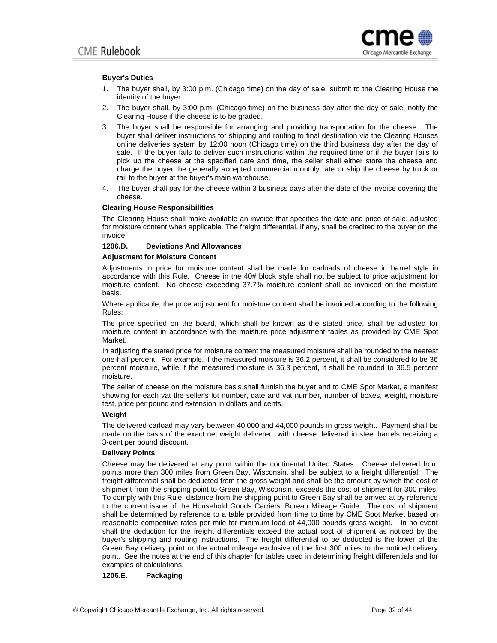

#### **Buyer's Duties**

- 1. The buyer shall, by 3:00 p.m. (Chicago time) on the day of sale, submit to the Clearing House the identity of the buyer.
- 2. The buyer shall, by 3:00 p.m. (Chicago time) on the business day after the day of sale, notify the Clearing House if the cheese is to be graded.
- 3. The buyer shall be responsible for arranging and providing transportation for the cheese. The buyer shall deliver instructions for shipping and routing to final destination via the Clearing Houses online deliveries system by 12:00 noon (Chicago time) on the third business day after the day of sale. If the buyer fails to deliver such instructions within the required time or if the buyer fails to pick up the cheese at the specified date and time, the seller shall either store the cheese and charge the buyer the generally accepted commercial monthly rate or ship the cheese by truck or rail to the buyer at the buyer's main warehouse.
- 4. The buyer shall pay for the cheese within 3 business days after the date of the invoice covering the cheese.

#### **Clearing House Responsibilities**

The Clearing House shall make available an invoice that specifies the date and price of sale, adjusted for moisture content when applicable. The freight differential, if any, shall be credited to the buyer on the invoice.

#### **1206.D. Deviations And Allowances**

#### **Adjustment for Moisture Content**

Adjustments in price for moisture content shall be made for carloads of cheese in barrel style in accordance with this Rule. Cheese in the 40# block style shall not be subject to price adjustment for moisture content. No cheese exceeding 37.7% moisture content shall be invoiced on the moisture basis.

Where applicable, the price adjustment for moisture content shall be invoiced according to the following Rules:

The price specified on the board, which shall be known as the stated price, shall be adjusted for moisture content in accordance with the moisture price adjustment tables as provided by CME Spot Market.

In adjusting the stated price for moisture content the measured moisture shall be rounded to the nearest one-half percent. For example, if the measured moisture is 36.2 percent, it shall be considered to be 36 percent moisture, while if the measured moisture is 36.3 percent, it shall be rounded to 36.5 percent moisture.

The seller of cheese on the moisture basis shall furnish the buyer and to CME Spot Market, a manifest showing for each vat the seller's lot number, date and vat number, number of boxes, weight, moisture test, price per pound and extension in dollars and cents.

#### **Weight**

The delivered carload may vary between 40,000 and 44,000 pounds in gross weight. Payment shall be made on the basis of the exact net weight delivered, with cheese delivered in steel barrels receiving a 3-cent per pound discount.

#### **Delivery Points**

Cheese may be delivered at any point within the continental United States. Cheese delivered from points more than 300 miles from Green Bay, Wisconsin, shall be subject to a freight differential. The freight differential shall be deducted from the gross weight and shall be the amount by which the cost of shipment from the shipping point to Green Bay, Wisconsin, exceeds the cost of shipment for 300 miles. To comply with this Rule, distance from the shipping point to Green Bay shall be arrived at by reference to the current issue of the Household Goods Carriers' Bureau Mileage Guide. The cost of shipment shall be determined by reference to a table provided from time to time by CME Spot Market based on reasonable competitive rates per mile for minimum load of 44,000 pounds gross weight. In no event shall the deduction for the freight differentials exceed the actual cost of shipment as noticed by the buyer's shipping and routing instructions. The freight differential to be deducted is the lower of the Green Bay delivery point or the actual mileage exclusive of the first 300 miles to the noticed delivery point. See the notes at the end of this chapter for tables used in determining freight differentials and for examples of calculations.

#### **1206.E. Packaging**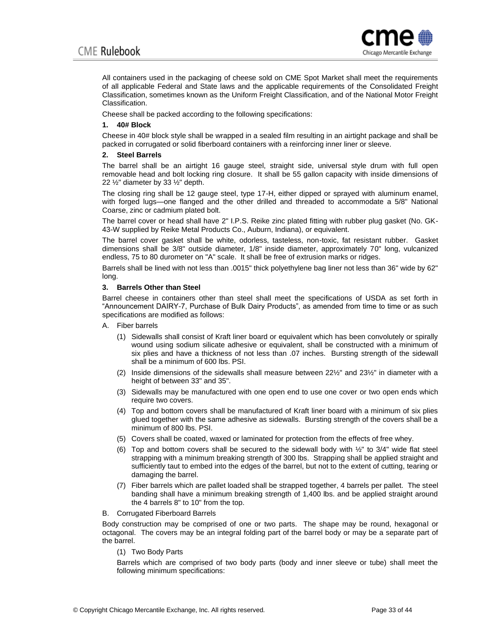

All containers used in the packaging of cheese sold on CME Spot Market shall meet the requirements of all applicable Federal and State laws and the applicable requirements of the Consolidated Freight Classification, sometimes known as the Uniform Freight Classification, and of the National Motor Freight Classification.

Cheese shall be packed according to the following specifications:

## **1. 40# Block**

Cheese in 40# block style shall be wrapped in a sealed film resulting in an airtight package and shall be packed in corrugated or solid fiberboard containers with a reinforcing inner liner or sleeve.

## **2. Steel Barrels**

The barrel shall be an airtight 16 gauge steel, straight side, universal style drum with full open removable head and bolt locking ring closure. It shall be 55 gallon capacity with inside dimensions of 22 ½" diameter by 33 ½" depth.

The closing ring shall be 12 gauge steel, type 17-H, either dipped or sprayed with aluminum enamel, with forged lugs—one flanged and the other drilled and threaded to accommodate a 5/8" National Coarse, zinc or cadmium plated bolt.

The barrel cover or head shall have 2" I.P.S. Reike zinc plated fitting with rubber plug gasket (No. GK-43-W supplied by Reike Metal Products Co., Auburn, Indiana), or equivalent.

The barrel cover gasket shall be white, odorless, tasteless, non-toxic, fat resistant rubber. Gasket dimensions shall be 3/8" outside diameter, 1/8" inside diameter, approximately 70" long, vulcanized endless, 75 to 80 durometer on "A" scale. It shall be free of extrusion marks or ridges.

Barrels shall be lined with not less than .0015" thick polyethylene bag liner not less than 36" wide by 62" long.

## **3. Barrels Other than Steel**

Barrel cheese in containers other than steel shall meet the specifications of USDA as set forth in "Announcement DAIRY-7, Purchase of Bulk Dairy Products", as amended from time to time or as such specifications are modified as follows:

- A. Fiber barrels
	- (1) Sidewalls shall consist of Kraft liner board or equivalent which has been convolutely or spirally wound using sodium silicate adhesive or equivalent, shall be constructed with a minimum of six plies and have a thickness of not less than .07 inches. Bursting strength of the sidewall shall be a minimum of 600 lbs. PSI.
	- (2) Inside dimensions of the sidewalls shall measure between  $22\frac{1}{2}$  and  $23\frac{1}{2}$ " in diameter with a height of between 33" and 35".
	- (3) Sidewalls may be manufactured with one open end to use one cover or two open ends which require two covers.
	- (4) Top and bottom covers shall be manufactured of Kraft liner board with a minimum of six plies glued together with the same adhesive as sidewalls. Bursting strength of the covers shall be a minimum of 800 lbs. PSI.
	- (5) Covers shall be coated, waxed or laminated for protection from the effects of free whey.
	- (6) Top and bottom covers shall be secured to the sidewall body with  $\frac{1}{2}$ " to 3/4" wide flat steel strapping with a minimum breaking strength of 300 lbs. Strapping shall be applied straight and sufficiently taut to embed into the edges of the barrel, but not to the extent of cutting, tearing or damaging the barrel.
	- (7) Fiber barrels which are pallet loaded shall be strapped together, 4 barrels per pallet. The steel banding shall have a minimum breaking strength of 1,400 lbs. and be applied straight around the 4 barrels 8" to 10" from the top.
- B. Corrugated Fiberboard Barrels

Body construction may be comprised of one or two parts. The shape may be round, hexagonal or octagonal. The covers may be an integral folding part of the barrel body or may be a separate part of the barrel.

(1) Two Body Parts

Barrels which are comprised of two body parts (body and inner sleeve or tube) shall meet the following minimum specifications: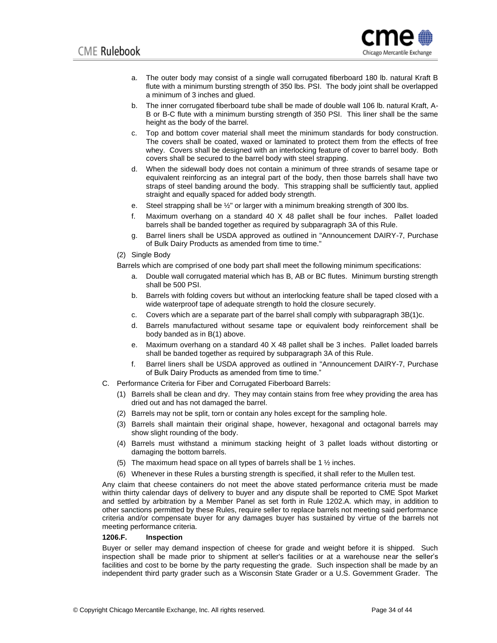

- a. The outer body may consist of a single wall corrugated fiberboard 180 lb. natural Kraft B flute with a minimum bursting strength of 350 lbs. PSI. The body joint shall be overlapped a minimum of 3 inches and glued.
- b. The inner corrugated fiberboard tube shall be made of double wall 106 lb. natural Kraft, A-B or B-C flute with a minimum bursting strength of 350 PSI. This liner shall be the same height as the body of the barrel.
- c. Top and bottom cover material shall meet the minimum standards for body construction. The covers shall be coated, waxed or laminated to protect them from the effects of free whey. Covers shall be designed with an interlocking feature of cover to barrel body. Both covers shall be secured to the barrel body with steel strapping.
- d. When the sidewall body does not contain a minimum of three strands of sesame tape or equivalent reinforcing as an integral part of the body, then those barrels shall have two straps of steel banding around the body. This strapping shall be sufficiently taut, applied straight and equally spaced for added body strength.
- e. Steel strapping shall be ½" or larger with a minimum breaking strength of 300 lbs.
- f. Maximum overhang on a standard 40 X 48 pallet shall be four inches. Pallet loaded barrels shall be banded together as required by subparagraph 3A of this Rule.
- g. Barrel liners shall be USDA approved as outlined in "Announcement DAIRY-7, Purchase of Bulk Dairy Products as amended from time to time."
- (2) Single Body

Barrels which are comprised of one body part shall meet the following minimum specifications:

- a. Double wall corrugated material which has B, AB or BC flutes. Minimum bursting strength shall be 500 PSI.
- b. Barrels with folding covers but without an interlocking feature shall be taped closed with a wide waterproof tape of adequate strength to hold the closure securely.
- c. Covers which are a separate part of the barrel shall comply with subparagraph 3B(1)c.
- d. Barrels manufactured without sesame tape or equivalent body reinforcement shall be body banded as in B(1) above.
- e. Maximum overhang on a standard 40 X 48 pallet shall be 3 inches. Pallet loaded barrels shall be banded together as required by subparagraph 3A of this Rule.
- f. Barrel liners shall be USDA approved as outlined in "Announcement DAIRY-7, Purchase of Bulk Dairy Products as amended from time to time."
- C. Performance Criteria for Fiber and Corrugated Fiberboard Barrels:
	- (1) Barrels shall be clean and dry. They may contain stains from free whey providing the area has dried out and has not damaged the barrel.
	- (2) Barrels may not be split, torn or contain any holes except for the sampling hole.
	- (3) Barrels shall maintain their original shape, however, hexagonal and octagonal barrels may show slight rounding of the body.
	- (4) Barrels must withstand a minimum stacking height of 3 pallet loads without distorting or damaging the bottom barrels.
	- (5) The maximum head space on all types of barrels shall be 1 ½ inches.
	- (6) Whenever in these Rules a bursting strength is specified, it shall refer to the Mullen test.

Any claim that cheese containers do not meet the above stated performance criteria must be made within thirty calendar days of delivery to buyer and any dispute shall be reported to CME Spot Market and settled by arbitration by a Member Panel as set forth in Rule 1202.A. which may, in addition to other sanctions permitted by these Rules, require seller to replace barrels not meeting said performance criteria and/or compensate buyer for any damages buyer has sustained by virtue of the barrels not meeting performance criteria.

## **1206.F. Inspection**

Buyer or seller may demand inspection of cheese for grade and weight before it is shipped. Such inspection shall be made prior to shipment at seller's facilities or at a warehouse near the seller's facilities and cost to be borne by the party requesting the grade. Such inspection shall be made by an independent third party grader such as a Wisconsin State Grader or a U.S. Government Grader. The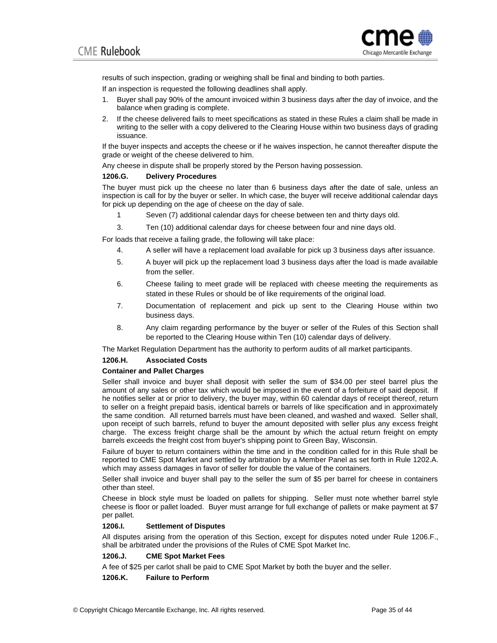

results of such inspection, grading or weighing shall be final and binding to both parties.

If an inspection is requested the following deadlines shall apply.

- 1. Buyer shall pay 90% of the amount invoiced within 3 business days after the day of invoice, and the balance when grading is complete.
- 2. If the cheese delivered fails to meet specifications as stated in these Rules a claim shall be made in writing to the seller with a copy delivered to the Clearing House within two business days of grading issuance.

If the buyer inspects and accepts the cheese or if he waives inspection, he cannot thereafter dispute the grade or weight of the cheese delivered to him.

Any cheese in dispute shall be properly stored by the Person having possession.

#### **1206.G. Delivery Procedures**

The buyer must pick up the cheese no later than 6 business days after the date of sale, unless an inspection is call for by the buyer or seller. In which case, the buyer will receive additional calendar days for pick up depending on the age of cheese on the day of sale.

- 1 Seven (7) additional calendar days for cheese between ten and thirty days old.
- 3. Ten (10) additional calendar days for cheese between four and nine days old.

For loads that receive a failing grade, the following will take place:

- 4. A seller will have a replacement load available for pick up 3 business days after issuance.
- 5. A buyer will pick up the replacement load 3 business days after the load is made available from the seller.
- 6. Cheese failing to meet grade will be replaced with cheese meeting the requirements as stated in these Rules or should be of like requirements of the original load.
- 7. Documentation of replacement and pick up sent to the Clearing House within two business days.
- 8. Any claim regarding performance by the buyer or seller of the Rules of this Section shall be reported to the Clearing House within Ten (10) calendar days of delivery.

The Market Regulation Department has the authority to perform audits of all market participants.

## **1206.H. Associated Costs**

## **Container and Pallet Charges**

Seller shall invoice and buyer shall deposit with seller the sum of \$34.00 per steel barrel plus the amount of any sales or other tax which would be imposed in the event of a forfeiture of said deposit. If he notifies seller at or prior to delivery, the buyer may, within 60 calendar days of receipt thereof, return to seller on a freight prepaid basis, identical barrels or barrels of like specification and in approximately the same condition. All returned barrels must have been cleaned, and washed and waxed. Seller shall, upon receipt of such barrels, refund to buyer the amount deposited with seller plus any excess freight charge. The excess freight charge shall be the amount by which the actual return freight on empty barrels exceeds the freight cost from buyer's shipping point to Green Bay, Wisconsin.

Failure of buyer to return containers within the time and in the condition called for in this Rule shall be reported to CME Spot Market and settled by arbitration by a Member Panel as set forth in Rule 1202.A. which may assess damages in favor of seller for double the value of the containers.

Seller shall invoice and buyer shall pay to the seller the sum of \$5 per barrel for cheese in containers other than steel.

Cheese in block style must be loaded on pallets for shipping. Seller must note whether barrel style cheese is floor or pallet loaded. Buyer must arrange for full exchange of pallets or make payment at \$7 per pallet.

#### **1206.I. Settlement of Disputes**

All disputes arising from the operation of this Section, except for disputes noted under Rule 1206.F., shall be arbitrated under the provisions of the Rules of CME Spot Market Inc.

## **1206.J. CME Spot Market Fees**

A fee of \$25 per carlot shall be paid to CME Spot Market by both the buyer and the seller.

#### **1206.K. Failure to Perform**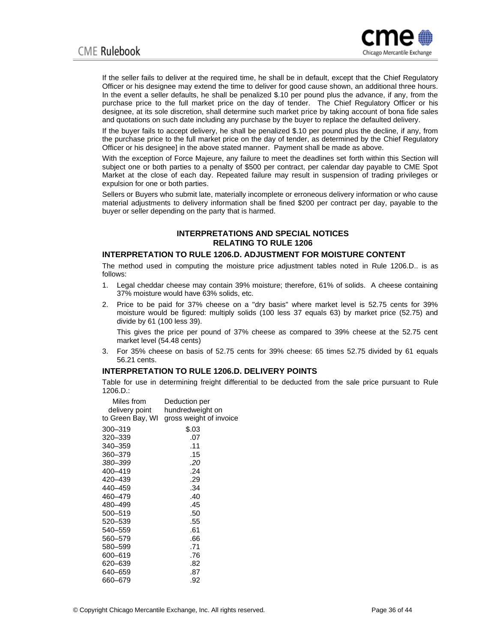

If the seller fails to deliver at the required time, he shall be in default, except that the Chief Regulatory Officer or his designee may extend the time to deliver for good cause shown, an additional three hours. In the event a seller defaults, he shall be penalized \$.10 per pound plus the advance, if any, from the purchase price to the full market price on the day of tender. The Chief Regulatory Officer or his designee, at its sole discretion, shall determine such market price by taking account of bona fide sales and quotations on such date including any purchase by the buyer to replace the defaulted delivery.

If the buyer fails to accept delivery, he shall be penalized \$.10 per pound plus the decline, if any, from the purchase price to the full market price on the day of tender, as determined by the Chief Regulatory Officer or his designee] in the above stated manner. Payment shall be made as above.

With the exception of Force Majeure, any failure to meet the deadlines set forth within this Section will subject one or both parties to a penalty of \$500 per contract, per calendar day payable to CME Spot Market at the close of each day. Repeated failure may result in suspension of trading privileges or expulsion for one or both parties.

Sellers or Buyers who submit late, materially incomplete or erroneous delivery information or who cause material adjustments to delivery information shall be fined \$200 per contract per day, payable to the buyer or seller depending on the party that is harmed.

## **INTERPRETATIONS AND SPECIAL NOTICES RELATING TO RULE 1206**

## **INTERPRETATION TO RULE 1206.D. ADJUSTMENT FOR MOISTURE CONTENT**

The method used in computing the moisture price adjustment tables noted in Rule 1206.D.. is as follows:

- 1. Legal cheddar cheese may contain 39% moisture; therefore, 61% of solids. A cheese containing 37% moisture would have 63% solids, etc.
- 2. Price to be paid for 37% cheese on a "dry basis" where market level is 52.75 cents for 39% moisture would be figured: multiply solids (100 less 37 equals 63) by market price (52.75) and divide by 61 (100 less 39).

This gives the price per pound of 37% cheese as compared to 39% cheese at the 52.75 cent market level (54.48 cents)

3. For 35% cheese on basis of 52.75 cents for 39% cheese: 65 times 52.75 divided by 61 equals 56.21 cents.

## **INTERPRETATION TO RULE 1206.D. DELIVERY POINTS**

Table for use in determining freight differential to be deducted from the sale price pursuant to Rule 1206.D.:

| Miles from       | Deduction per           |  |  |
|------------------|-------------------------|--|--|
| delivery point   | hundredweight on        |  |  |
| to Green Bay, WI | gross weight of invoice |  |  |
| 300-319          | \$.03                   |  |  |
| 320–339          | .07                     |  |  |
| 340–359          | .11                     |  |  |
| 360-379          | .15                     |  |  |
| 380-399          | .20                     |  |  |
| 400-419          | .24                     |  |  |
| 420-439          | .29                     |  |  |
| 440–459          | .34                     |  |  |
| 460-479          | .40                     |  |  |
| 480–499          | .45                     |  |  |
| 500-519          | .50                     |  |  |
| 520-539          | .55                     |  |  |
| 540–559          | .61                     |  |  |
| 560-579          | .66                     |  |  |
| 580-599          | .71                     |  |  |
| 600-619          | .76                     |  |  |
| 620–639          | .82                     |  |  |
| 640–659          | .87                     |  |  |
| 660–679          | .92                     |  |  |
|                  |                         |  |  |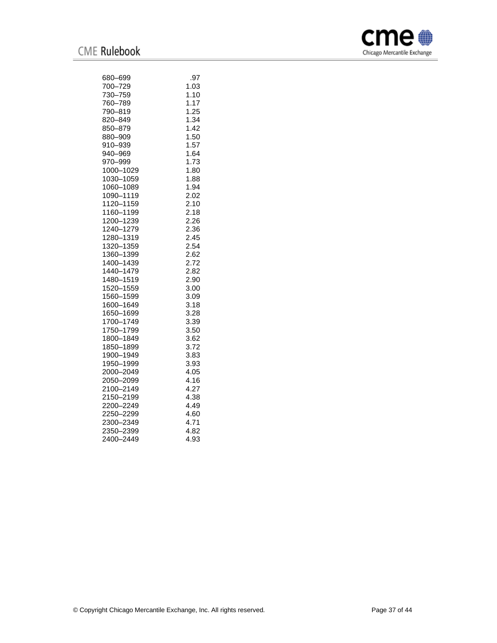

| 680–699        | .97  |
|----------------|------|
| 700–729        | 1.03 |
| 730-759        | 1.10 |
| 760-789        | 1.17 |
| 790-819        | 1.25 |
| 820–849        | 1.34 |
| 850–879        | 1.42 |
| 880-909        | 1.50 |
| 910–939        | 1.57 |
| 940–969        | 1.64 |
| 970–999        | 1.73 |
| 1000-1029      | 1.80 |
| 1030-1059      | 1.88 |
| 1060-1089      | 1.94 |
| 1090-1119      | 2.02 |
| 1120–1159      | 2.10 |
| 1160-1199      | 2.18 |
| 1200-1239      | 2.26 |
| 1240-1279      | 2.36 |
| 1280-1319      | 2.45 |
| 1320-1359      | 2.54 |
| 1360-1399      | 2.62 |
| 1400-1439      | 2.72 |
| 1440-1479      | 2.82 |
| 1480-1519      | 2.90 |
| 1520-1559      | 3.00 |
| 1560-1599      | 3.09 |
| 1600-1649      | 3.18 |
| 1650-1699      | 3.28 |
| 1700-1749      | 3.39 |
| 1750-1799      | 3.50 |
| 1800-1849      | 3.62 |
| 1850-1899      | 3.72 |
| 1900-1949      | 3.83 |
| 1950-1999      | 3.93 |
| 2000-2049      | 4.05 |
| 2050-2099      | 4.16 |
| 2100-2149      | 4.27 |
| 2150-2199      | 4.38 |
| 2200-2249      | 4.49 |
| 2250–2299      | 4.60 |
| 2300-2349      | 4.71 |
| 2350–2399      | 4.82 |
| 2400-<br>-2449 | 4.93 |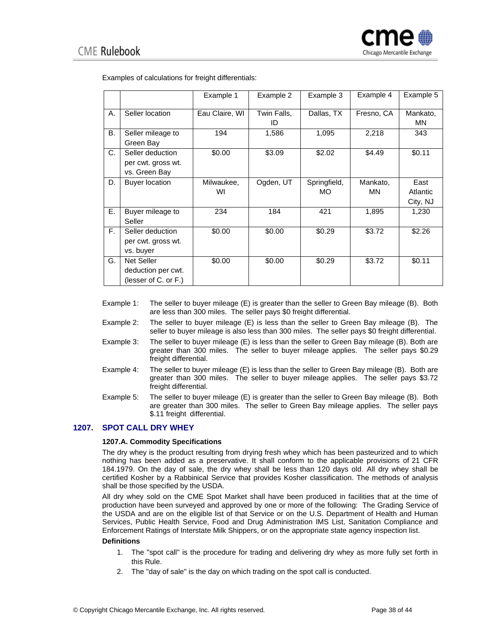|           |                                                                 | Example 1        | Example 2         | Example 3           | Example 4      | Example 5                    |
|-----------|-----------------------------------------------------------------|------------------|-------------------|---------------------|----------------|------------------------------|
| А.        | Seller location                                                 | Eau Claire, WI   | Twin Falls,<br>ID | Dallas, TX          | Fresno, CA     | Mankato,<br>MN               |
| <b>B.</b> | Seller mileage to<br>Green Bay                                  | 194              | 1,586             | 1,095               | 2,218          | 343                          |
| C.        | Seller deduction<br>per cwt. gross wt.<br>vs. Green Bay         | \$0.00           | \$3.09            | \$2.02              | \$4.49         | \$0.11                       |
| D.        | <b>Buyer location</b>                                           | Milwaukee,<br>WI | Ogden, UT         | Springfield,<br>MO. | Mankato,<br>ΜN | East<br>Atlantic<br>City, NJ |
| Е.        | Buyer mileage to<br>Seller                                      | 234              | 184               | 421                 | 1,895          | 1,230                        |
| F.        | Seller deduction<br>per cwt. gross wt.<br>vs. buyer             | \$0.00           | \$0.00            | \$0.29              | \$3.72         | \$2.26                       |
| G.        | <b>Net Seller</b><br>deduction per cwt.<br>(lesser of C. or F.) | \$0.00           | \$0.00            | \$0.29              | \$3.72         | \$0.11                       |

Examples of calculations for freight differentials:

- Example 1: The seller to buyer mileage (E) is greater than the seller to Green Bay mileage (B). Both are less than 300 miles. The seller pays \$0 freight differential.
- Example 2: The seller to buyer mileage (E) is less than the seller to Green Bay mileage (B). The seller to buyer mileage is also less than 300 miles. The seller pays \$0 freight differential.
- Example 3: The seller to buyer mileage (E) is less than the seller to Green Bay mileage (B). Both are greater than 300 miles. The seller to buyer mileage applies. The seller pays \$0.29 freight differential.
- Example 4: The seller to buyer mileage (E) is less than the seller to Green Bay mileage (B). Both are greater than 300 miles. The seller to buyer mileage applies. The seller pays \$3.72 freight differential.
- Example 5: The seller to buyer mileage (E) is greater than the seller to Green Bay mileage (B). Both are greater than 300 miles. The seller to Green Bay mileage applies. The seller pays \$.11 freight differential.

## **1207. SPOT CALL DRY WHEY**

## **1207.A. Commodity Specifications**

The dry whey is the product resulting from drying fresh whey which has been pasteurized and to which nothing has been added as a preservative. It shall conform to the applicable provisions of [21 CFR](http://www.ecfr.gov/cgi-bin/text-idx?SID=d427fea1e1d7aa5d6cf59ab91fc80032&mc=true&node=se21.3.184_11979&rgn=div8)  [184.1979.](http://www.ecfr.gov/cgi-bin/text-idx?SID=d427fea1e1d7aa5d6cf59ab91fc80032&mc=true&node=se21.3.184_11979&rgn=div8) On the day of sale, the dry whey shall be less than 120 days old. All dry whey shall be certified Kosher by a Rabbinical Service that provides Kosher classification. The methods of analysis shall be those specified by the USDA.

All dry whey sold on the CME Spot Market shall have been produced in facilities that at the time of production have been surveyed and approved by one or more of the following: The Grading Service of the USDA and are on the eligible list of that Service or on the U.S. Department of Health and Human Services, Public Health Service, Food and Drug Administration IMS List, Sanitation Compliance and Enforcement Ratings of Interstate Milk Shippers, or on the appropriate state agency inspection list.

#### **Definitions**

- 1. The "spot call" is the procedure for trading and delivering dry whey as more fully set forth in this Rule.
- 2. The "day of sale" is the day on which trading on the spot call is conducted.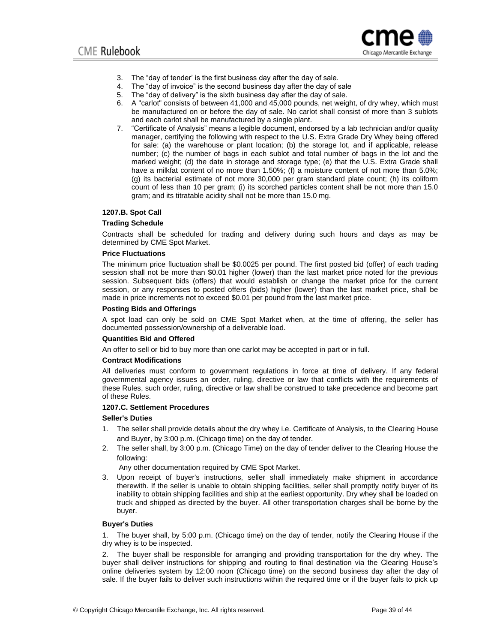

- 3. The "day of tender' is the first business day after the day of sale.
- 4. The "day of invoice" is the second business day after the day of sale
- 5. The "day of delivery" is the sixth business day after the day of sale.
- 6. A "carlot" consists of between 41,000 and 45,000 pounds, net weight, of dry whey, which must be manufactured on or before the day of sale. No carlot shall consist of more than 3 sublots and each carlot shall be manufactured by a single plant.
- 7. "Certificate of Analysis" means a legible document, endorsed by a lab technician and/or quality manager, certifying the following with respect to the U.S. Extra Grade Dry Whey being offered for sale: (a) the warehouse or plant location; (b) the storage lot, and if applicable, release number; (c) the number of bags in each sublot and total number of bags in the lot and the marked weight; (d) the date in storage and storage type; (e) that the U.S. Extra Grade shall have a milkfat content of no more than 1.50%; (f) a moisture content of not more than 5.0%; (g) its bacterial estimate of not more 30,000 per gram standard plate count; (h) its coliform count of less than 10 per gram; (i) its scorched particles content shall be not more than 15.0 gram; and its titratable acidity shall not be more than 15.0 mg.

#### **1207.B. Spot Call**

#### **Trading Schedule**

Contracts shall be scheduled for trading and delivery during such hours and days as may be determined by CME Spot Market.

## **Price Fluctuations**

The minimum price fluctuation shall be \$0.0025 per pound. The first posted bid (offer) of each trading session shall not be more than \$0.01 higher (lower) than the last market price noted for the previous session. Subsequent bids (offers) that would establish or change the market price for the current session, or any responses to posted offers (bids) higher (lower) than the last market price, shall be made in price increments not to exceed \$0.01 per pound from the last market price.

#### **Posting Bids and Offerings**

A spot load can only be sold on CME Spot Market when, at the time of offering, the seller has documented possession/ownership of a deliverable load.

#### **Quantities Bid and Offered**

An offer to sell or bid to buy more than one carlot may be accepted in part or in full.

#### **Contract Modifications**

All deliveries must conform to government regulations in force at time of delivery. If any federal governmental agency issues an order, ruling, directive or law that conflicts with the requirements of these Rules, such order, ruling, directive or law shall be construed to take precedence and become part of these Rules.

## **1207.C. Settlement Procedures**

#### **Seller's Duties**

- 1. The seller shall provide details about the dry whey i.e. Certificate of Analysis, to the Clearing House and Buyer, by 3:00 p.m. (Chicago time) on the day of tender.
- 2. The seller shall, by 3:00 p.m. (Chicago Time) on the day of tender deliver to the Clearing House the following:

Any other documentation required by CME Spot Market.

3. Upon receipt of buyer's instructions, seller shall immediately make shipment in accordance therewith. If the seller is unable to obtain shipping facilities, seller shall promptly notify buyer of its inability to obtain shipping facilities and ship at the earliest opportunity. Dry whey shall be loaded on truck and shipped as directed by the buyer. All other transportation charges shall be borne by the buyer.

#### **Buyer's Duties**

1. The buyer shall, by 5:00 p.m. (Chicago time) on the day of tender, notify the Clearing House if the dry whey is to be inspected.

2. The buyer shall be responsible for arranging and providing transportation for the dry whey. The buyer shall deliver instructions for shipping and routing to final destination via the Clearing House's online deliveries system by 12:00 noon (Chicago time) on the second business day after the day of sale. If the buyer fails to deliver such instructions within the required time or if the buyer fails to pick up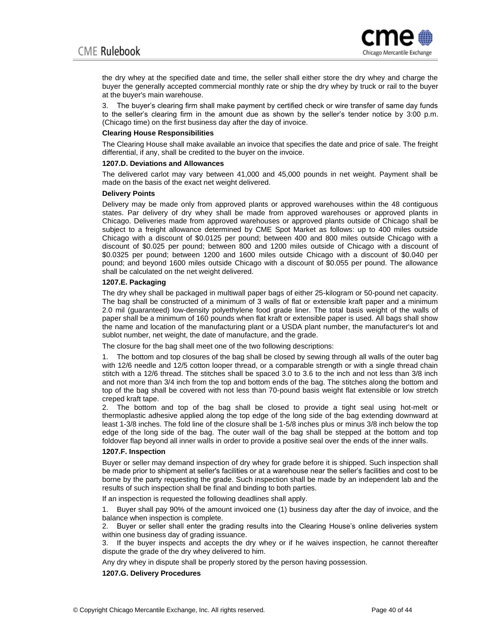

the dry whey at the specified date and time, the seller shall either store the dry whey and charge the buyer the generally accepted commercial monthly rate or ship the dry whey by truck or rail to the buyer at the buyer's main warehouse.

3. The buyer's clearing firm shall make payment by certified check or wire transfer of same day funds to the seller's clearing firm in the amount due as shown by the seller's tender notice by 3:00 p.m. (Chicago time) on the first business day after the day of invoice.

#### **Clearing House Responsibilities**

The Clearing House shall make available an invoice that specifies the date and price of sale. The freight differential, if any, shall be credited to the buyer on the invoice.

#### **1207.D. Deviations and Allowances**

The delivered carlot may vary between 41,000 and 45,000 pounds in net weight. Payment shall be made on the basis of the exact net weight delivered.

#### **Delivery Points**

Delivery may be made only from approved plants or approved warehouses within the 48 contiguous states. Par delivery of dry whey shall be made from approved warehouses or approved plants in Chicago. Deliveries made from approved warehouses or approved plants outside of Chicago shall be subject to a freight allowance determined by CME Spot Market as follows: up to 400 miles outside Chicago with a discount of \$0.0125 per pound; between 400 and 800 miles outside Chicago with a discount of \$0.025 per pound; between 800 and 1200 miles outside of Chicago with a discount of \$0.0325 per pound; between 1200 and 1600 miles outside Chicago with a discount of \$0.040 per pound; and beyond 1600 miles outside Chicago with a discount of \$0.055 per pound. The allowance shall be calculated on the net weight delivered.

#### **1207.E. Packaging**

The dry whey shall be packaged in multiwall paper bags of either 25-kilogram or 50-pound net capacity. The bag shall be constructed of a minimum of 3 walls of flat or extensible kraft paper and a minimum 2.0 mil (guaranteed) low-density polyethylene food grade liner. The total basis weight of the walls of paper shall be a minimum of 160 pounds when flat kraft or extensible paper is used. All bags shall show the name and location of the manufacturing plant or a USDA plant number, the manufacturer's lot and sublot number, net weight, the date of manufacture, and the grade.

The closure for the bag shall meet one of the two following descriptions:

1. The bottom and top closures of the bag shall be closed by sewing through all walls of the outer bag with 12/6 needle and 12/5 cotton looper thread, or a comparable strength or with a single thread chain stitch with a 12/6 thread. The stitches shall be spaced 3.0 to 3.6 to the inch and not less than 3/8 inch and not more than 3/4 inch from the top and bottom ends of the bag. The stitches along the bottom and top of the bag shall be covered with not less than 70-pound basis weight flat extensible or low stretch creped kraft tape.

2. The bottom and top of the bag shall be closed to provide a tight seal using hot-melt or thermoplastic adhesive applied along the top edge of the long side of the bag extending downward at least 1-3/8 inches. The fold line of the closure shall be 1-5/8 inches plus or minus 3/8 inch below the top edge of the long side of the bag. The outer wall of the bag shall be stepped at the bottom and top foldover flap beyond all inner walls in order to provide a positive seal over the ends of the inner walls.

#### **1207.F. Inspection**

Buyer or seller may demand inspection of dry whey for grade before it is shipped. Such inspection shall be made prior to shipment at seller's facilities or at a warehouse near the seller's facilities and cost to be borne by the party requesting the grade. Such inspection shall be made by an independent lab and the results of such inspection shall be final and binding to both parties.

If an inspection is requested the following deadlines shall apply.

1. Buyer shall pay 90% of the amount invoiced one (1) business day after the day of invoice, and the balance when inspection is complete.

2. Buyer or seller shall enter the grading results into the Clearing House's online deliveries system within one business day of grading issuance.

3. If the buyer inspects and accepts the dry whey or if he waives inspection, he cannot thereafter dispute the grade of the dry whey delivered to him.

Any dry whey in dispute shall be properly stored by the person having possession.

## **1207.G. Delivery Procedures**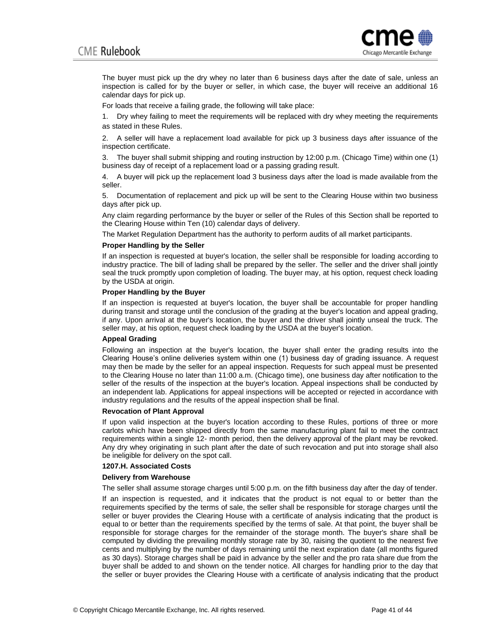

The buyer must pick up the dry whey no later than 6 business days after the date of sale, unless an inspection is called for by the buyer or seller, in which case, the buyer will receive an additional 16 calendar days for pick up.

For loads that receive a failing grade, the following will take place:

1. Dry whey failing to meet the requirements will be replaced with dry whey meeting the requirements as stated in these Rules.

2. A seller will have a replacement load available for pick up 3 business days after issuance of the inspection certificate.

3. The buyer shall submit shipping and routing instruction by 12:00 p.m. (Chicago Time) within one (1) business day of receipt of a replacement load or a passing grading result.

4. A buyer will pick up the replacement load 3 business days after the load is made available from the seller.

5. Documentation of replacement and pick up will be sent to the Clearing House within two business days after pick up.

Any claim regarding performance by the buyer or seller of the Rules of this Section shall be reported to the Clearing House within Ten (10) calendar days of delivery.

The Market Regulation Department has the authority to perform audits of all market participants.

#### **Proper Handling by the Seller**

If an inspection is requested at buyer's location, the seller shall be responsible for loading according to industry practice. The bill of lading shall be prepared by the seller. The seller and the driver shall jointly seal the truck promptly upon completion of loading. The buyer may, at his option, request check loading by the USDA at origin.

#### **Proper Handling by the Buyer**

If an inspection is requested at buyer's location, the buyer shall be accountable for proper handling during transit and storage until the conclusion of the grading at the buyer's location and appeal grading, if any. Upon arrival at the buyer's location, the buyer and the driver shall jointly unseal the truck. The seller may, at his option, request check loading by the USDA at the buyer's location.

#### **Appeal Grading**

Following an inspection at the buyer's location, the buyer shall enter the grading results into the Clearing House's online deliveries system within one (1) business day of grading issuance. A request may then be made by the seller for an appeal inspection. Requests for such appeal must be presented to the Clearing House no later than 11:00 a.m. (Chicago time), one business day after notification to the seller of the results of the inspection at the buyer's location. Appeal inspections shall be conducted by an independent lab. Applications for appeal inspections will be accepted or rejected in accordance with industry regulations and the results of the appeal inspection shall be final.

#### **Revocation of Plant Approval**

If upon valid inspection at the buyer's location according to these Rules, portions of three or more carlots which have been shipped directly from the same manufacturing plant fail to meet the contract requirements within a single 12- month period, then the delivery approval of the plant may be revoked. Any dry whey originating in such plant after the date of such revocation and put into storage shall also be ineligible for delivery on the spot call.

#### **1207.H. Associated Costs**

#### **Delivery from Warehouse**

The seller shall assume storage charges until 5:00 p.m. on the fifth business day after the day of tender.

If an inspection is requested, and it indicates that the product is not equal to or better than the requirements specified by the terms of sale, the seller shall be responsible for storage charges until the seller or buyer provides the Clearing House with a certificate of analysis indicating that the product is equal to or better than the requirements specified by the terms of sale. At that point, the buyer shall be responsible for storage charges for the remainder of the storage month. The buyer's share shall be computed by dividing the prevailing monthly storage rate by 30, raising the quotient to the nearest five cents and multiplying by the number of days remaining until the next expiration date (all months figured as 30 days). Storage charges shall be paid in advance by the seller and the pro rata share due from the buyer shall be added to and shown on the tender notice. All charges for handling prior to the day that the seller or buyer provides the Clearing House with a certificate of analysis indicating that the product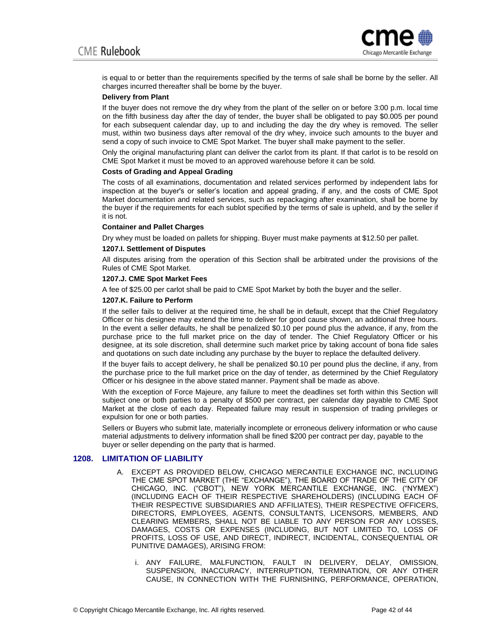

is equal to or better than the requirements specified by the terms of sale shall be borne by the seller. All charges incurred thereafter shall be borne by the buyer.

### **Delivery from Plant**

If the buyer does not remove the dry whey from the plant of the seller on or before 3:00 p.m. local time on the fifth business day after the day of tender, the buyer shall be obligated to pay \$0.005 per pound for each subsequent calendar day, up to and including the day the dry whey is removed. The seller must, within two business days after removal of the dry whey, invoice such amounts to the buyer and send a copy of such invoice to CME Spot Market. The buyer shall make payment to the seller.

Only the original manufacturing plant can deliver the carlot from its plant. If that carlot is to be resold on CME Spot Market it must be moved to an approved warehouse before it can be sold.

#### **Costs of Grading and Appeal Grading**

The costs of all examinations, documentation and related services performed by independent labs for inspection at the buyer's or seller's location and appeal grading, if any, and the costs of CME Spot Market documentation and related services, such as repackaging after examination, shall be borne by the buyer if the requirements for each sublot specified by the terms of sale is upheld, and by the seller if it is not.

#### **Container and Pallet Charges**

Dry whey must be loaded on pallets for shipping. Buyer must make payments at \$12.50 per pallet.

#### **1207.I. Settlement of Disputes**

All disputes arising from the operation of this Section shall be arbitrated under the provisions of the Rules of CME Spot Market.

## **1207.J. CME Spot Market Fees**

A fee of \$25.00 per carlot shall be paid to CME Spot Market by both the buyer and the seller.

## **1207.K. Failure to Perform**

If the seller fails to deliver at the required time, he shall be in default, except that the Chief Regulatory Officer or his designee may extend the time to deliver for good cause shown, an additional three hours. In the event a seller defaults, he shall be penalized \$0.10 per pound plus the advance, if any, from the purchase price to the full market price on the day of tender. The Chief Regulatory Officer or his designee, at its sole discretion, shall determine such market price by taking account of bona fide sales and quotations on such date including any purchase by the buyer to replace the defaulted delivery.

If the buyer fails to accept delivery, he shall be penalized \$0.10 per pound plus the decline, if any, from the purchase price to the full market price on the day of tender, as determined by the Chief Regulatory Officer or his designee in the above stated manner. Payment shall be made as above.

With the exception of Force Majeure, any failure to meet the deadlines set forth within this Section will subject one or both parties to a penalty of \$500 per contract, per calendar day payable to CME Spot Market at the close of each day. Repeated failure may result in suspension of trading privileges or expulsion for one or both parties.

Sellers or Buyers who submit late, materially incomplete or erroneous delivery information or who cause material adjustments to delivery information shall be fined \$200 per contract per day, payable to the buyer or seller depending on the party that is harmed.

## **1208. LIMITATION OF LIABILITY**

- A. EXCEPT AS PROVIDED BELOW, CHICAGO MERCANTILE EXCHANGE INC, INCLUDING THE CME SPOT MARKET (THE "EXCHANGE"), THE BOARD OF TRADE OF THE CITY OF CHICAGO, INC. ("CBOT"), NEW YORK MERCANTILE EXCHANGE, INC. ("NYMEX") (INCLUDING EACH OF THEIR RESPECTIVE SHAREHOLDERS) (INCLUDING EACH OF THEIR RESPECTIVE SUBSIDIARIES AND AFFILIATES), THEIR RESPECTIVE OFFICERS, DIRECTORS, EMPLOYEES, AGENTS, CONSULTANTS, LICENSORS, MEMBERS, AND CLEARING MEMBERS, SHALL NOT BE LIABLE TO ANY PERSON FOR ANY LOSSES, DAMAGES, COSTS OR EXPENSES (INCLUDING, BUT NOT LIMITED TO, LOSS OF PROFITS, LOSS OF USE, AND DIRECT, INDIRECT, INCIDENTAL, CONSEQUENTIAL OR PUNITIVE DAMAGES), ARISING FROM:
	- i. ANY FAILURE, MALFUNCTION, FAULT IN DELIVERY, DELAY, OMISSION, SUSPENSION, INACCURACY, INTERRUPTION, TERMINATION, OR ANY OTHER CAUSE, IN CONNECTION WITH THE FURNISHING, PERFORMANCE, OPERATION,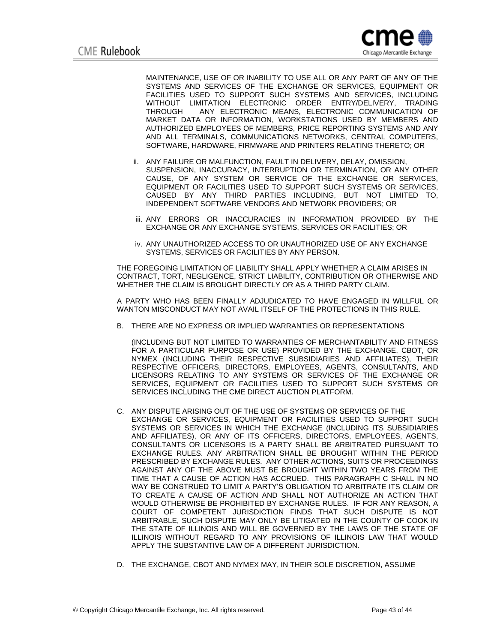

MAINTENANCE, USE OF OR INABILITY TO USE ALL OR ANY PART OF ANY OF THE SYSTEMS AND SERVICES OF THE EXCHANGE OR SERVICES, EQUIPMENT OR FACILITIES USED TO SUPPORT SUCH SYSTEMS AND SERVICES, INCLUDING WITHOUT LIMITATION ELECTRONIC ORDER ENTRY/DELIVERY, TRADING THROUGH ANY ELECTRONIC MEANS, ELECTRONIC COMMUNICATION OF MARKET DATA OR INFORMATION, WORKSTATIONS USED BY MEMBERS AND AUTHORIZED EMPLOYEES OF MEMBERS, PRICE REPORTING SYSTEMS AND ANY AND ALL TERMINALS, COMMUNICATIONS NETWORKS, CENTRAL COMPUTERS, SOFTWARE, HARDWARE, FIRMWARE AND PRINTERS RELATING THERETO; OR

- ii. ANY FAILURE OR MALFUNCTION, FAULT IN DELIVERY, DELAY, OMISSION, SUSPENSION, INACCURACY, INTERRUPTION OR TERMINATION, OR ANY OTHER CAUSE, OF ANY SYSTEM OR SERVICE OF THE EXCHANGE OR SERVICES, EQUIPMENT OR FACILITIES USED TO SUPPORT SUCH SYSTEMS OR SERVICES, CAUSED BY ANY THIRD PARTIES INCLUDING, BUT NOT LIMITED TO, INDEPENDENT SOFTWARE VENDORS AND NETWORK PROVIDERS; OR
- iii. ANY ERRORS OR INACCURACIES IN INFORMATION PROVIDED BY THE EXCHANGE OR ANY EXCHANGE SYSTEMS, SERVICES OR FACILITIES; OR
- iv. ANY UNAUTHORIZED ACCESS TO OR UNAUTHORIZED USE OF ANY EXCHANGE SYSTEMS, SERVICES OR FACILITIES BY ANY PERSON.

THE FOREGOING LIMITATION OF LIABILITY SHALL APPLY WHETHER A CLAIM ARISES IN CONTRACT, TORT, NEGLIGENCE, STRICT LIABILITY, CONTRIBUTION OR OTHERWISE AND WHETHER THE CLAIM IS BROUGHT DIRECTLY OR AS A THIRD PARTY CLAIM.

A PARTY WHO HAS BEEN FINALLY ADJUDICATED TO HAVE ENGAGED IN WILLFUL OR WANTON MISCONDUCT MAY NOT AVAIL ITSELF OF THE PROTECTIONS IN THIS RULE.

B. THERE ARE NO EXPRESS OR IMPLIED WARRANTIES OR REPRESENTATIONS

(INCLUDING BUT NOT LIMITED TO WARRANTIES OF MERCHANTABILITY AND FITNESS FOR A PARTICULAR PURPOSE OR USE) PROVIDED BY THE EXCHANGE, CBOT, OR NYMEX (INCLUDING THEIR RESPECTIVE SUBSIDIARIES AND AFFILIATES), THEIR RESPECTIVE OFFICERS, DIRECTORS, EMPLOYEES, AGENTS, CONSULTANTS, AND LICENSORS RELATING TO ANY SYSTEMS OR SERVICES OF THE EXCHANGE OR SERVICES, EQUIPMENT OR FACILITIES USED TO SUPPORT SUCH SYSTEMS OR SERVICES INCLUDING THE CME DIRECT AUCTION PLATFORM.

- C. ANY DISPUTE ARISING OUT OF THE USE OF SYSTEMS OR SERVICES OF THE EXCHANGE OR SERVICES, EQUIPMENT OR FACILITIES USED TO SUPPORT SUCH SYSTEMS OR SERVICES IN WHICH THE EXCHANGE (INCLUDING ITS SUBSIDIARIES AND AFFILIATES), OR ANY OF ITS OFFICERS, DIRECTORS, EMPLOYEES, AGENTS, CONSULTANTS OR LICENSORS IS A PARTY SHALL BE ARBITRATED PURSUANT TO EXCHANGE RULES. ANY ARBITRATION SHALL BE BROUGHT WITHIN THE PERIOD PRESCRIBED BY EXCHANGE RULES. ANY OTHER ACTIONS, SUITS OR PROCEEDINGS AGAINST ANY OF THE ABOVE MUST BE BROUGHT WITHIN TWO YEARS FROM THE TIME THAT A CAUSE OF ACTION HAS ACCRUED. THIS PARAGRAPH C SHALL IN NO WAY BE CONSTRUED TO LIMIT A PARTY'S OBLIGATION TO ARBITRATE ITS CLAIM OR TO CREATE A CAUSE OF ACTION AND SHALL NOT AUTHORIZE AN ACTION THAT WOULD OTHERWISE BE PROHIBITED BY EXCHANGE RULES. IF FOR ANY REASON, A COURT OF COMPETENT JURISDICTION FINDS THAT SUCH DISPUTE IS NOT ARBITRABLE, SUCH DISPUTE MAY ONLY BE LITIGATED IN THE COUNTY OF COOK IN THE STATE OF ILLINOIS AND WILL BE GOVERNED BY THE LAWS OF THE STATE OF ILLINOIS WITHOUT REGARD TO ANY PROVISIONS OF ILLINOIS LAW THAT WOULD APPLY THE SUBSTANTIVE LAW OF A DIFFERENT JURISDICTION.
- D. THE EXCHANGE, CBOT AND NYMEX MAY, IN THEIR SOLE DISCRETION, ASSUME